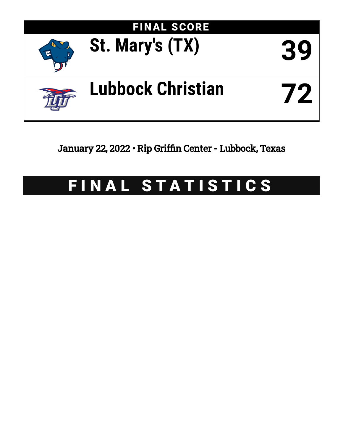

January 22, 2022 • Rip Griffin Center - Lubbock, Texas

# FINAL STATISTICS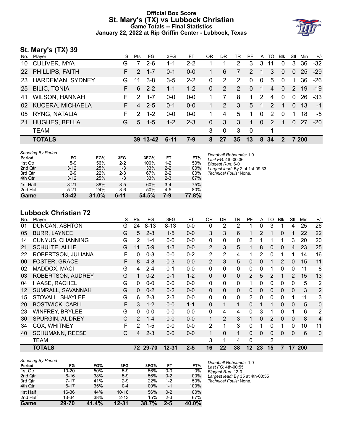# **Official Box Score St. Mary's (TX) vs Lubbock Christian Game Totals -- Final Statistics January 22, 2022 at Rip Griffin Center - Lubbock, Texas**



# **St. Mary's (TX) 39**

| No.             | Player                  | S  | Pts           | FG.      | 3FG      | FТ      | 0 <sub>R</sub> | DR            | TR | PF       |              | A TO          | <b>BIK</b>   | Stl           | Min   | $+/-$ |
|-----------------|-------------------------|----|---------------|----------|----------|---------|----------------|---------------|----|----------|--------------|---------------|--------------|---------------|-------|-------|
| 10 <sup>°</sup> | <b>CULIVER, MYA</b>     | G  |               | $2 - 6$  | 1-1      | $2 - 2$ |                |               | 2  | 3        | 3            | 11            | $\mathbf{0}$ | 3             | 36    | $-32$ |
| <b>22</b>       | PHILLIPS, FAITH         | F. | 2             | $1 - 7$  | $0 - 1$  | $0-0$   | 1              | 6             | 7  | 2        |              | 3             | $\Omega$     | $\mathbf{0}$  | 25    | $-29$ |
| -23             | HARDEMAN, SYDNEY        | G  | 11            | $3 - 8$  | $3-5$    | $2 - 2$ | $\Omega$       | 2             | 2  | $\Omega$ | $\mathbf{0}$ | 5             | $\Omega$     | 1.            | 36    | -26   |
|                 | 25 BILIC, TONIA         | F. | 6             | $2 - 2$  | $1 - 1$  | $1 - 2$ | $\Omega$       | 2             | 2  | $\Omega$ | 1            | 4             | $\Omega$     | $\mathcal{P}$ | 19    | $-19$ |
| 41              | <b>WILSON, HANNAH</b>   | F. | $\mathcal{P}$ | $1 - 7$  | $0 - 0$  | $0-0$   |                |               | 8  | 1.       | 2            | 4             | $\mathbf{0}$ | $\Omega$      | 26    | -33   |
| 02              | <b>KUCERA, MICHAELA</b> | F. | 4             | $2 - 5$  | $0 - 1$  | $0 - 0$ | 1              | $\mathcal{P}$ | 3  | 5        | 1            | $\mathcal{P}$ | 1            | $\Omega$      | -13   | $-1$  |
| 05              | RYNG, NATALIA           | F. | $\mathcal{P}$ | $1 - 2$  | $0 - 0$  | $0 - 0$ |                | 4             | 5  | 1        | $\mathbf{0}$ | 2             | $\Omega$     |               | 18    | -5    |
| 21              | <b>HUGHES, BELLA</b>    | G  | 5             | $1 - 5$  | $1 - 2$  | $2 - 3$ | $\Omega$       | 3             | 3  | 1        | $\Omega$     | $\mathcal{P}$ |              | $\Omega$      | -27   | $-20$ |
|                 | <b>TEAM</b>             |    |               |          |          |         | 3              | $\Omega$      | 3  | - 0      |              | 1             |              |               |       |       |
|                 | <b>TOTALS</b>           |    |               | 39 13-42 | $6 - 11$ | $7-9$   | 8              | 27            | 35 | 13       | 8            | -34           | $\mathbf{2}$ |               | 7 200 |       |

| <b>Shooting By Period</b> |          |       |          |       |         |       | Deadball Rebounds: 1.0          |
|---------------------------|----------|-------|----------|-------|---------|-------|---------------------------------|
| Period                    | FG       | FG%   | 3FG      | 3FG%  | FT      | FT%   | Last FG: 4th-00:36              |
| 1st Qtr                   | $5-9$    | 56%   | $2 - 2$  | 100%  | 1-2     | 50%   | Biggest Run: 6-0                |
| 2nd Qtr                   | $3 - 12$ | 25%   | 1-3      | 33%   | $2 - 2$ | 100%  | Largest lead: By 2 at 1st-09:33 |
| 3rd Qtr                   | $2-9$    | 22%   | $2 - 3$  | 67%   | $2 - 2$ | 100%  | Technical Fouls: None.          |
| 4th Qtr                   | $3 - 12$ | 25%   | 1-3      | 33%   | $2 - 3$ | 67%   |                                 |
| 1st Half                  | $8 - 21$ | 38%   | $3-5$    | 60%   | $3 - 4$ | 75%   |                                 |
| 2nd Half                  | $5 - 21$ | 24%   | $3-6$    | 50%   | $4 - 5$ | 80%   |                                 |
| Game                      | 13-42    | 31.0% | $6 - 11$ | 54.5% | 7-9     | 77.8% |                                 |

**Lubbock Christian 72**

| No. | Player                   | S | Pts            | FG       | 3FG       | <b>FT</b> | 0 <sub>R</sub> | <b>DR</b>    | TR           | PF             | A        | TO | <b>Blk</b>   | Stl      | Min        | $+/-$          |
|-----|--------------------------|---|----------------|----------|-----------|-----------|----------------|--------------|--------------|----------------|----------|----|--------------|----------|------------|----------------|
| 01  | DUNCAN, ASHTON           | G | 24             | $8 - 13$ | $8 - 13$  | $0 - 0$   | 0              | 2            | 2            |                | 0        | 3  |              | 4        | 25         | 26             |
| 05  | <b>BURR, LAYNEE</b>      | G | 5              | $2 - 8$  | $1 - 5$   | $0 - 0$   | 3              | 3            | 6            |                | 2        |    | 0            |          | 22         | 22             |
| 14  | <b>CUNYUS, CHANNING</b>  | G | 2              | $1 - 4$  | $0 - 0$   | $0 - 0$   | $\mathbf{0}$   | 0            | $\mathbf{0}$ | 2              | 1        |    |              | 3        | 20         | 20             |
| 21  | <b>SCHULTE, ALLIE</b>    | G | 11             | $5-9$    | $1 - 3$   | $0 - 0$   | 2              | 3            | 5            |                | 8        | 0  | 0            | 4        | 23         | 25             |
| 22  | ROBERTSON, JULIANA       | F | 0              | $0 - 3$  | $0 - 0$   | $0 - 2$   | $\overline{2}$ | 2            | 4            |                | 2        | 0  |              |          | 14         | 16             |
| 00  | FOSTER, GRACE            | F | 8              | $4 - 8$  | $0 - 3$   | $0-0$     | 2              | 3            | 5            | $\mathbf{0}$   | $\Omega$ | 1  | 2            | $\Omega$ | 15         | 11             |
| 02  | MADDOX, MACI             | G | 4              | $2 - 4$  | $0 - 1$   | $0-0$     | 0              | $\mathbf{0}$ | $\mathbf{0}$ | $\Omega$       | 0        |    | 0            | 0        | 11         | 8              |
| 03  | <b>ROBERTSON, AUDREY</b> | G |                | $0 - 2$  | $0 - 1$   | $1 - 2$   | 0              | $\Omega$     | $\Omega$     | 2              | 5        | 2  |              | 2        | 15         | 13             |
| 04  | <b>HAASE, RACHEL</b>     | G | 0              | $0 - 0$  | $0 - 0$   | $0 - 0$   | $\Omega$       | 0            | $\mathbf{0}$ |                | 0        | 0  | 0            | $\Omega$ | 5          | 2              |
| 12  | SUMRALL, SAVANNAH        | G | 0              | $0 - 2$  | $0 - 2$   | $0 - 0$   | $\mathbf{0}$   | 0            | $\Omega$     | $\Omega$       | 0        | 0  | $\Omega$     | 0        | 3          | $\overline{2}$ |
| 15  | STOVALL, SHAYLEE         | G | 6              | $2 - 3$  | $2 - 3$   | $0-0$     | $\Omega$       | 0            | $\mathbf{0}$ | $\overline{2}$ | 0        | 0  | $\Omega$     |          | 11         | 3              |
| 20  | <b>BOSTWICK, CARLI</b>   | F | 3              | $1 - 2$  | $0 - 0$   | $1 - 1$   | $\Omega$       | 1            | 1            | $\Omega$       | 1        | 1  | $\mathbf{0}$ | 0        | 5          | 0              |
| 23  | <b>WINFREY, BRYLEE</b>   | G | 0              | $0 - 0$  | $0 - 0$   | $0 - 0$   | 0              | 4            | 4            | 0              | 3        | 1  | $\Omega$     |          | 6          | 2              |
| 30  | <b>SPURGIN, AUDREY</b>   | C | $\overline{2}$ | $1 - 4$  | $0 - 0$   | $0 - 0$   | $\mathbf{1}$   | 2            | 3            |                | $\Omega$ | 2  | $\mathbf{0}$ | $\Omega$ | 8          | 4              |
| 34  | COX, WHITNEY             | F | 2              | $1 - 5$  | $0 - 0$   | $0 - 0$   | $\overline{2}$ | $\mathbf 1$  | 3            | 0              | 1        | 0  |              | 0        | 10         | 11             |
| 40  | <b>SCHUMANN, REESE</b>   | C | 4              | $2 - 3$  | $0 - 0$   | $0 - 0$   | $\mathbf{1}$   | 0            | 1            | $\Omega$       | $\Omega$ | 0  | $\Omega$     | $\Omega$ | 6          | $\mathbf 0$    |
|     | TEAM                     |   |                |          |           |           | 3              | 1            | 4            | 0              |          | 2  |              |          |            |                |
|     | <b>TOTALS</b>            |   |                | 72 29-70 | $12 - 31$ | $2 - 5$   | 16             | 22           | 38           | 12             | 23       | 15 | 7            | 17       | <b>200</b> |                |

| <b>Shooting By Period</b> |           |       |           |       |         |       |
|---------------------------|-----------|-------|-----------|-------|---------|-------|
| Period                    | FG        | FG%   | 3FG       | 3FG%  | FT      | FT%   |
| 1st Qtr                   | $10 - 20$ | 50%   | $5-9$     | 56%   | $0 - 0$ | 0%    |
| 2nd Qtr                   | $6 - 16$  | 38%   | $5-9$     | 56%   | $0 - 2$ | 00%   |
| 3rd Qtr                   | $7 - 17$  | 41%   | $2-9$     | 22%   | $1 - 2$ | 50%   |
| 4th Qtr                   | $6 - 17$  | 35%   | $0 - 4$   | 00%   | $1 - 1$ | 100%  |
| 1st Half                  | 16-36     | 44%   | $10 - 18$ | 56%   | $0 - 2$ | 00%   |
| 2nd Half                  | 13-34     | 38%   | $2 - 13$  | 15%   | $2 - 3$ | 67%   |
| Game                      | 29-70     | 41.4% | $12 - 31$ | 38.7% | $2 - 5$ | 40.0% |

*Deadball Rebounds:* 1,0 *Last FG:* 4th-00:55 *Biggest Run:* 12-0 *Largest lead:* By 35 at 4th-00:55 *Technical Fouls:* None.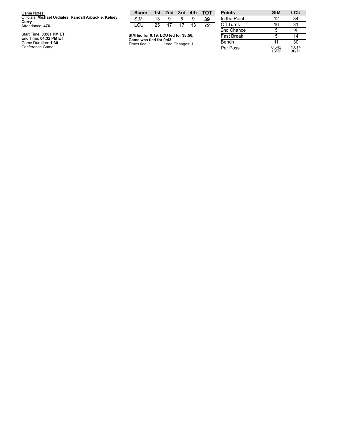| Game Notes:                                           | <b>Score</b>                                    |    | 1st 2nd 3rd 4th |    |    | <b>TOT</b> | <b>Points</b>     |
|-------------------------------------------------------|-------------------------------------------------|----|-----------------|----|----|------------|-------------------|
| Officials: Michael Urdiales, Randall Arbuckle, Kelsey | <b>StM</b>                                      | 13 | 9               |    | 9  | 39         | In the Paint      |
| Curry<br>Attendance: 476                              | LCU                                             | 25 | -17             | 17 | 13 | 72         | Off Turns         |
|                                                       |                                                 |    |                 |    |    |            | 2nd Chance        |
| Start Time: 03:01 PM ET<br>End Time: 04:32 PM ET      | StM led for 0:19. LCU led for 38:56.            |    |                 |    |    |            | <b>Fast Break</b> |
| Game Duration: 1:30<br>$\sim$ $\sim$ $\sim$           | Game was tied for 0:43.<br>Times tied: <b>1</b> |    | Lead Changes: 1 |    |    |            | Bench             |

**StM LCU**<br>12 34 In the Paint 12 34 Off Turns 16 31  $\frac{5}{5}$ 4 5 14 Bench 1 1 30 Per Poss 0.5 4 2 1 6 / 7 2 1.0 1 4 3 0 / 7 1

Game Duration: **1:3**<br>Conference Game; **0**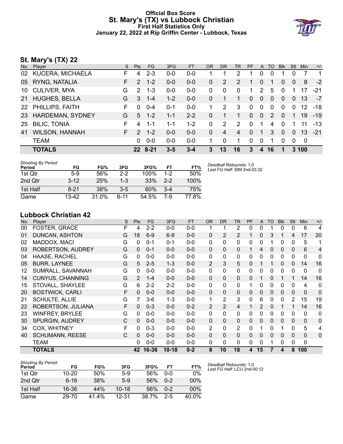# **Official Box Score St. Mary's (TX) vs Lubbock Christian First Half Statistics Only January 22, 2022 at Rip Griffin Center - Lubbock, Texas**



# **St. Mary's (TX) 22**

| No. | Player                  | S. | <b>Pts</b>      | FG.     | 3FG     | <b>FT</b> | <b>OR</b> | DR           | TR | <b>PF</b> | A              | TO       | <b>Blk</b>   | Stl          | <b>Min</b>        | $+/-$       |
|-----|-------------------------|----|-----------------|---------|---------|-----------|-----------|--------------|----|-----------|----------------|----------|--------------|--------------|-------------------|-------------|
|     | 02 KUCERA, MICHAELA     | F  | 4               | $2 - 3$ | $0 - 0$ | $0 - 0$   |           |              | 2  |           | 0              |          |              | 0            | 7                 | $\mathbf 1$ |
|     | 05 RYNG, NATALIA        | F. | 2               | $1 - 2$ | $0 - 0$ | $0 - 0$   | 0         | 2            | 2  |           | $\Omega$       |          | 0            | $\mathbf{0}$ | 8                 | $-2$        |
|     | 10 CULIVER, MYA         | G  | $\mathcal{P}$   | $1 - 3$ | $0 - 0$ | $0 - 0$   | 0         | $\Omega$     | 0  | 1         | 2              | 5        | 0            |              | 17                | $-21$       |
| 21  | <b>HUGHES, BELLA</b>    | G  | 3               | $1 - 4$ | $1 - 2$ | $0 - 0$   | 0         |              | 1  | 0         | $\overline{0}$ | $\Omega$ | $\mathbf{0}$ | $\mathbf{0}$ | 13                | $-7$        |
|     | 22 PHILLIPS, FAITH      | F  | $\Omega$        | $0 - 4$ | $0 - 1$ | $0 - 0$   |           | 2            | 3  | $\Omega$  | $\mathbf{0}$   | $\Omega$ | $\Omega$     | $\Omega$     | $12 \overline{ }$ | -18         |
| 23  | <b>HARDEMAN, SYDNEY</b> | G  | 5               | $1 - 2$ | $1 - 1$ | $2 - 2$   | 0         |              | 1  | 0         | $\mathbf{0}$   | 2        | $\Omega$     |              | 19                | $-19$       |
| 25  | <b>BILIC, TONIA</b>     | F  | 4               | $1 - 1$ | 1-1     | $1 - 2$   | 0         | 2            | 2  | $\Omega$  | 1              | 4        | $\Omega$     |              | 11                | $-13$       |
| 41  | <b>WILSON, HANNAH</b>   | F. | $\mathcal{P}$   | $1 - 2$ | $0 - 0$ | $0 - 0$   | 0         | 4            | 4  | 0         |                | 3        | $\Omega$     | $\Omega$     | 13                | $-21$       |
|     | <b>TEAM</b>             |    | 0               | $0 - 0$ | $0 - 0$ | $0 - 0$   |           | $\mathbf{0}$ | 1  | $\Omega$  | $\Omega$       | 1        | $\Omega$     | $\Omega$     | 0                 |             |
|     | <b>TOTALS</b>           |    | 22 <sub>2</sub> | 8-21    | $3 - 5$ | $3 - 4$   | 3         | 13           | 16 | 3         | 4              | 16       |              |              | 3 100             |             |

| <b>Shooting By Period</b><br>Period | FG       | FG%   | 3FG     | 3FG%  | FT      | FT%   | Deadball Rebounds: 1,0<br>Last FG Half: StM 2nd-03:32 |
|-------------------------------------|----------|-------|---------|-------|---------|-------|-------------------------------------------------------|
| 1st Qtr                             | $5-9$    | 56%   | $2 - 2$ | 100%  | 1-2     | 50%   |                                                       |
| 2nd Qtr                             | $3 - 12$ | 25%   | $1 - 3$ | 33%   | $2 - 2$ | 100%  |                                                       |
| 1st Half                            | $8 - 21$ | 38%   | $3-5$   | 60%   | $3 - 4$ | 75%   |                                                       |
| Game                                | 13-42    | 31.0% | ჩ-11    | 54.5% | 7-9     | 77.8% |                                                       |

# **Lubbock Christian 42**

| No. | Player                  | S | Pts | <b>FG</b> | 3FG       | <b>FT</b> | <b>OR</b>      | <b>DR</b>      | <b>TR</b>      | <b>PF</b> | A        | TO | <b>Blk</b>   | Stl      | Min          | $+/-$        |
|-----|-------------------------|---|-----|-----------|-----------|-----------|----------------|----------------|----------------|-----------|----------|----|--------------|----------|--------------|--------------|
| 00  | FOSTER, GRACE           | F | 4   | $2 - 2$   | $0 - 0$   | $0 - 0$   | 1              |                | 2              | 0         | 0        |    | 0            | 0        | 6            | 4            |
| 01  | DUNCAN, ASHTON          | G | 18  | $6-9$     | $6-9$     | $0 - 0$   | 0              | 2              | 2              |           | 0        | 3  |              | 4        | 17           | 20           |
| 02  | MADDOX, MACI            | G | 0   | $0 - 1$   | $0 - 1$   | $0 - 0$   | 0              | 0              | 0              | 0         | 0        |    | 0            | 0        | 5            | 1            |
| 03  | ROBERTSON, AUDREY       | G | 0   | $0 - 1$   | $0 - 0$   | $0 - 0$   | $\mathbf{0}$   | $\Omega$       | $\mathbf{0}$   |           | 4        | 0  | 0            | 0        | 6            | 4            |
| 04  | HAASE, RACHEL           | G | 0   | $0 - 0$   | $0 - 0$   | $0 - 0$   | 0              | 0              | 0              | 0         | 0        | 0  | 0            | 0        | 0            | 0            |
| 05  | <b>BURR, LAYNEE</b>     | G | 5   | $2 - 5$   | $1 - 3$   | $0 - 0$   | $\overline{2}$ | 3              | 5              | $\Omega$  |          |    | $\mathbf{0}$ | $\Omega$ | 14           | 16           |
| 12  | SUMRALL, SAVANNAH       | G | 0   | $0 - 0$   | $0-0$     | $0-0$     | $\Omega$       | 0              | $\mathbf{0}$   | 0         | 0        | 0  | $\Omega$     | $\Omega$ | 0            | 0            |
| 14  | <b>CUNYUS, CHANNING</b> | G | 2   | $1 - 4$   | $0 - 0$   | $0 - 0$   | $\mathbf{0}$   | $\Omega$       | $\mathbf{0}$   | 0         | 1        | 0  |              |          | 14           | 16           |
| 15  | STOVALL, SHAYLEE        | G | 6   | $2 - 2$   | $2 - 2$   | $0 - 0$   | $\Omega$       | 0              | $\mathbf{0}$   |           | 0        | 0  | $\mathbf{0}$ | $\Omega$ | 4            | 0            |
| 20  | <b>BOSTWICK, CARLI</b>  | F | 0   | $0-0$     | $0 - 0$   | $0 - 0$   | $\mathbf{0}$   | $\Omega$       | $\mathbf{0}$   | 0         | $\Omega$ | 0  | 0            | 0        | $\mathbf 0$  | $\mathbf 0$  |
| 21  | <b>SCHULTE, ALLIE</b>   | G |     | $3-6$     | $1 - 3$   | $0 - 0$   | 1              | 2              | 3              | 0         | 6        | 0  | $\mathbf{0}$ | 2        | 15           | 19           |
| 22  | ROBERTSON, JULIANA      | F | 0   | $0 - 3$   | $0 - 0$   | $0 - 2$   | $\overline{2}$ | $\overline{2}$ | 4              |           | 2        | 0  |              |          | 14           | 16           |
| 23  | <b>WINFREY, BRYLEE</b>  | G | 0   | $0 - 0$   | $0 - 0$   | $0 - 0$   | 0              | 0              | $\mathbf{0}$   | 0         | 0        | 0  | 0            | 0        | 0            | $\mathbf 0$  |
| 30  | SPURGIN, AUDREY         | С | 0   | $0 - 0$   | $0 - 0$   | $0 - 0$   | $\mathbf{0}$   | 0              | $\Omega$       | 0         | $\Omega$ | 0  | 0            | 0        | $\mathbf 0$  | $\mathbf 0$  |
| 34  | COX, WHITNEY            | F | 0   | $0 - 3$   | $0 - 0$   | $0 - 0$   | $\overline{2}$ | 0              | $\overline{2}$ | 0         | 1        | 0  |              | 0        | 5            | 4            |
| 40  | <b>SCHUMANN, REESE</b>  | C | 0   | $0 - 0$   | $0 - 0$   | $0 - 0$   | $\Omega$       | $\Omega$       | $\mathbf{0}$   | $\Omega$  | $\Omega$ | 0  | $\Omega$     | 0        | $\mathbf{0}$ | $\mathbf{0}$ |
|     | <b>TEAM</b>             |   | 0   | $0 - 0$   | $0 - 0$   | $0 - 0$   | 0              | 0              | $\Omega$       | 0         | 0        | 1  | 0            | $\Omega$ | 0            |              |
|     | <b>TOTALS</b>           |   | 42  | 16-36     | $10 - 18$ | $0 - 2$   | 8              | 10             | 18             | 4         | 15       | 7  | 4            | 8        | 100          |              |

| Shooting By Period |           |       |           |       |         | D     |
|--------------------|-----------|-------|-----------|-------|---------|-------|
| Period             | FG        | FG%   | 3FG       | 3FG%  | FТ      | FT%   |
| 1st Otr            | $10 - 20$ | 50%   | 5-9       | 56%   | 0-0     | 0%    |
| 2nd Qtr            | $6 - 16$  | 38%   | $5-9$     | 56%   | $0 - 2$ | 00%   |
| 1st Half           | 16-36     | 44%   | $10 - 18$ | 56%   | $0 - 2$ | 00%   |
| Game               | 29-70     | 41.4% | 12-31     | 38.7% | 2-5     | 40.0% |

*Deadball Rebounds:* 1,0 *Last FG Half:* LCU 2nd-00:12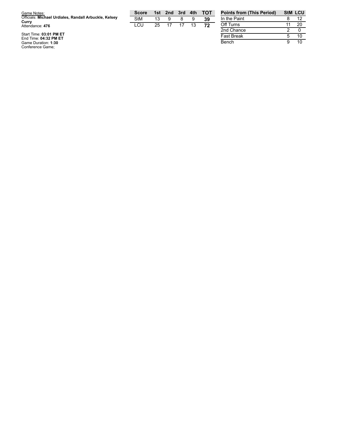| Game Notes:                                                    | <b>Score</b> | 1st | 2nd | 3rd 4th |    | <b>TOT</b> | <b>Points fron</b> |
|----------------------------------------------------------------|--------------|-----|-----|---------|----|------------|--------------------|
| Officials: Michael Urdiales, Randall Arbuckle, Kelsey<br>Currv | StM          | 13  | я   |         |    | 39         | In the Paint       |
| Attendance: 476                                                | LCU.         | 25. |     |         | 13 | 72         | Off Turns          |
|                                                                |              |     |     |         |    |            | 2nd Chance         |
| Start Time: 03:01 PM ET                                        |              |     |     |         |    |            | Faat Desale        |

**Points from (This Period) StM LCU**  $\overline{12}$ 1 1 20 2nd Chance  $\frac{2}{5}$  $\overline{0}$ Fast Break  $\begin{array}{|c|c|c|}\n\hline\n5 & 10 \\
\hline\n9 & 10\n\end{array}$ Bench  $10$ 

Start Time: 03:01 PM ET<br>End Time: 04:32 PM ET<br>Game Duration: 1:30<br>Conference Game;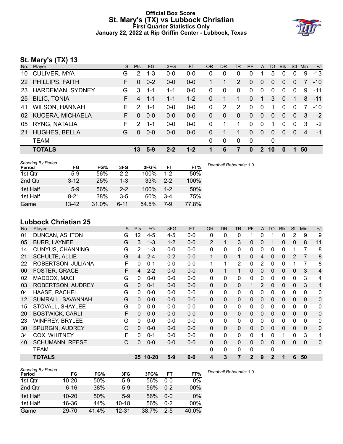# **Official Box Score St. Mary's (TX) vs Lubbock Christian First Quarter Statistics Only January 22, 2022 at Rip Griffin Center - Lubbock, Texas**



# **St. Mary's (TX) 13**

| No.             | Player                | S. | <b>Pts</b>     | FG.     | 3FG     | <b>FT</b> | <b>OR</b> | D <sub>R</sub> | TR             | <b>PF</b> | A            | TO             | <b>Blk</b>     | Stl         | Min | $+/-$ |
|-----------------|-----------------------|----|----------------|---------|---------|-----------|-----------|----------------|----------------|-----------|--------------|----------------|----------------|-------------|-----|-------|
| 10              | <b>CULIVER, MYA</b>   | G  | 2              | $1 - 3$ | $0 - 0$ | $0 - 0$   | 0         | $\Omega$       | 0              | 0         |              | 5              | 0              | $\Omega$    | 9   | $-13$ |
|                 | 22 PHILLIPS, FAITH    | F. | $\Omega$       | $0 - 2$ | $0-0$   | $0-0$     |           |                | $\overline{2}$ | 0         | $\Omega$     | 0              | $\Omega$       | $\Omega$    |     | $-10$ |
| 23              | HARDEMAN, SYDNEY      | G  | 3              | $1 - 1$ | 1-1     | 0-0       | 0         | $\Omega$       | 0              | 0         | $\mathbf 0$  | 0              | $\Omega$       | $\Omega$    | 9   | $-11$ |
| 25 <sub>2</sub> | <b>BILIC, TONIA</b>   | F. | $\overline{4}$ | $1 - 1$ | $1 - 1$ | $1 - 2$   | $\Omega$  |                | 1              | $\Omega$  | $\mathbf 1$  | 3              | $\overline{0}$ | $\mathbf 1$ | 8   | $-11$ |
| 41              | <b>WILSON, HANNAH</b> | F. | 2              | $1 - 1$ | $0-0$   | $0-0$     | $\Omega$  | $\overline{2}$ | $\overline{2}$ | $\Omega$  | $\mathbf 0$  | 1              | $\Omega$       | $\Omega$    |     | $-10$ |
|                 | 02 KUCERA, MICHAELA   | F. | $\Omega$       | $0 - 0$ | $0 - 0$ | $0 - 0$   | 0         | $\Omega$       | $\mathbf{0}$   | $\Omega$  | $\Omega$     | $\Omega$       | $\Omega$       | $\Omega$    | 3   | $-2$  |
| 05              | RYNG, NATALIA         | F. | $\mathcal{P}$  | $1 - 1$ | $0-0$   | $0 - 0$   | $\Omega$  |                | 1              | 0         | $\mathbf 0$  | 1              | $\Omega$       | $\Omega$    | 3   | $-2$  |
| 21              | <b>HUGHES, BELLA</b>  | G  | $\Omega$       | $0 - 0$ | $0 - 0$ | $0-0$     | $\Omega$  |                | 1.             | $\Omega$  | $\mathbf{0}$ | $\overline{0}$ | $\Omega$       | $\Omega$    | 4   | $-1$  |
|                 | <b>TEAM</b>           |    |                |         |         |           | 0         | $\mathbf 0$    | 0              | 0         |              | 0              |                |             |     |       |
|                 | <b>TOTALS</b>         |    | 13             | $5-9$   | $2 - 2$ | $1 - 2$   | 1         | 6              | 7              | 0         | $2^{\circ}$  | 10             | O              |             | 50  |       |
|                 |                       |    |                |         |         |           |           |                |                |           |              |                |                |             |     |       |

| <b>Shooting By Period</b><br>Period | FG        | FG%   | 3FG     | 3FG%  | FT      | FT%   | Deadball Rebounds: 1,0 |
|-------------------------------------|-----------|-------|---------|-------|---------|-------|------------------------|
| 1st Qtr                             | $5-9$     | 56%   | $2 - 2$ | 100%  | $1 - 2$ | 50%   |                        |
| 2nd Qtr                             | $3 - 12$  | 25%   | 1-3     | 33%   | $2 - 2$ | 100%  |                        |
| 1st Half                            | $5-9$     | 56%   | $2 - 2$ | 100%  | $1 - 2$ | 50%   |                        |
| 1st Half                            | $8 - 21$  | 38%   | $3-5$   | 60%   | $3 - 4$ | 75%   |                        |
| Game                                | $13 - 42$ | 31.0% | 6-11    | 54.5% | 7-9     | 77.8% |                        |

# **Lubbock Christian 25**

| No. | Player                   | S | Pts          | <b>FG</b> | 3FG     | <b>FT</b> | <b>OR</b>    | <b>DR</b>    | <b>TR</b>            | PF             | A              | <b>TO</b>      | <b>Blk</b>   | Stl            | Min          | $+/-$          |
|-----|--------------------------|---|--------------|-----------|---------|-----------|--------------|--------------|----------------------|----------------|----------------|----------------|--------------|----------------|--------------|----------------|
| 01  | <b>DUNCAN, ASHTON</b>    | G | 12           | $4 - 5$   | $4 - 5$ | $0 - 0$   | 0            | 0            | 0                    |                | 0              |                | 0            | 2              | 9            | 9              |
| 05  | <b>BURR, LAYNEE</b>      | G | 3            | $1 - 3$   | $1 - 2$ | $0-0$     | 2            | 1            | 3                    | $\mathbf{0}$   | $\Omega$       |                | $\mathbf{0}$ | $\mathbf{0}$   | 8            | 11             |
| 14  | <b>CUNYUS, CHANNING</b>  | G | 2            | $1 - 3$   | $0-0$   | $0-0$     | $\Omega$     | 0            | $\mathbf{0}$         | 0              | 0              | 0              | $\Omega$     | 1              | 7            | 8              |
| 21  | <b>SCHULTE, ALLIE</b>    | G | 4            | $2 - 4$   | $0 - 2$ | $0 - 0$   | 1            | $\mathbf{0}$ | $\blacktriangleleft$ | 0              | 4              | 0              | $\mathbf{0}$ | $\overline{2}$ | 7            | 8              |
| 22  | ROBERTSON, JULIANA       | F | 0            | $0 - 1$   | $0 - 0$ | $0 - 0$   | 1            | 1            | $\overline{2}$       | 0              | 2              | 0              | $\Omega$     | 1              | 7            | 8              |
| 00  | FOSTER, GRACE            | F | 4            | $2 - 2$   | $0 - 0$ | $0 - 0$   | 0            | 1            | 1                    | 0              | 0              | 0              | $\mathbf{0}$ | 0              | 3            | 4              |
| 02  | MADDOX, MACI             | G | 0            | $0 - 0$   | $0 - 0$ | $0 - 0$   | 0            | 0            | $\mathbf{0}$         | 0              | 0              | 0              | $\Omega$     | 0              | 3            | 4              |
| 03  | <b>ROBERTSON, AUDREY</b> | G | 0            | $0 - 1$   | $0 - 0$ | $0 - 0$   | $\mathbf{0}$ | $\Omega$     | $\Omega$             |                | $\overline{2}$ | 0              | 0            | 0              | 3            | $\overline{4}$ |
| 04  | <b>HAASE, RACHEL</b>     | G | 0            | $0 - 0$   | $0-0$   | $0-0$     | 0            | 0            | $\mathbf{0}$         | 0              | 0              | 0              | $\Omega$     | 0              | $\mathbf{0}$ | 0              |
| 12  | SUMRALL, SAVANNAH        | G | 0            | $0 - 0$   | $0 - 0$ | $0 - 0$   | $\mathbf{0}$ | $\mathbf{0}$ | $\mathbf{0}$         | 0              | 0              | 0              | $\mathbf{0}$ | $\mathbf{0}$   | 0            | $\mathbf 0$    |
| 15  | STOVALL, SHAYLEE         | G | 0            | $0 - 0$   | $0-0$   | $0 - 0$   | 0            | 0            | $\mathbf{0}$         | $\Omega$       | 0              | 0              | $\Omega$     | $\mathbf{0}$   | 0            | 0              |
| 20  | <b>BOSTWICK, CARLI</b>   | F | $\Omega$     | $0 - 0$   | $0 - 0$ | $0 - 0$   | $\Omega$     | $\mathbf{0}$ | $\Omega$             | $\Omega$       | $\Omega$       | 0              | $\Omega$     | $\mathbf{0}$   | $\mathbf{0}$ | $\mathbf{0}$   |
| 23  | <b>WINFREY, BRYLEE</b>   | G | $\Omega$     | $0 - 0$   | $0-0$   | $0-0$     | $\mathbf{0}$ | 0            | $\mathbf{0}$         | $\Omega$       | 0              | 0              | $\Omega$     | $\mathbf{0}$   | $\mathbf{0}$ | 0              |
| 30  | <b>SPURGIN, AUDREY</b>   | C | 0            | $0 - 0$   | $0 - 0$ | $0 - 0$   | 0            | $\mathbf{0}$ | $\Omega$             | $\mathbf{0}$   | 0              | 0              | $\mathbf{0}$ | $\mathbf{0}$   | 0            | $\mathbf 0$    |
| 34  | COX, WHITNEY             | F | $\Omega$     | $0 - 1$   | $0 - 0$ | $0 - 0$   | 0            | $\mathbf{0}$ | $\mathbf{0}$         | 0              | 1              | 0              |              | $\mathbf{0}$   | 3            | 4              |
| 40  | <b>SCHUMANN, REESE</b>   | C | $\mathbf{0}$ | $0 - 0$   | $0 - 0$ | $0 - 0$   | 0            | $\mathbf{0}$ | $\Omega$             | $\Omega$       | 0              | 0              | $\Omega$     | $\mathbf{0}$   | 0            | $\mathbf{0}$   |
|     | TEAM                     |   |              |           |         |           | 0            | 0            | 0                    | 0              |                | 0              |              |                |              |                |
|     | <b>TOTALS</b>            |   |              | 25 10-20  | $5-9$   | $0 - 0$   | 4            | 3            | 7                    | $\overline{2}$ | 9              | $\overline{2}$ |              | 6              | 50           |                |

| <b>Shooting By Period</b><br>Period | FG        | FG%   | 3FG       | 3FG%  | FT      | FT%   | Deadball Rebounds: 1,0 |
|-------------------------------------|-----------|-------|-----------|-------|---------|-------|------------------------|
| 1st Qtr                             | $10 - 20$ | 50%   | $5-9$     | 56%   | $0 - 0$ | 0%    |                        |
| 2nd Qtr                             | $6 - 16$  | 38%   | $5-9$     | 56%   | $0 - 2$ | 00%   |                        |
| 1st Half                            | $10 - 20$ | 50%   | $5-9$     | 56%   | $0 - 0$ | 0%    |                        |
| 1st Half                            | 16-36     | 44%   | $10 - 18$ | 56%   | $0 - 2$ | 00%   |                        |
| Game                                | 29-70     | 41.4% | $12 - 31$ | 38.7% | $2 - 5$ | 40.0% |                        |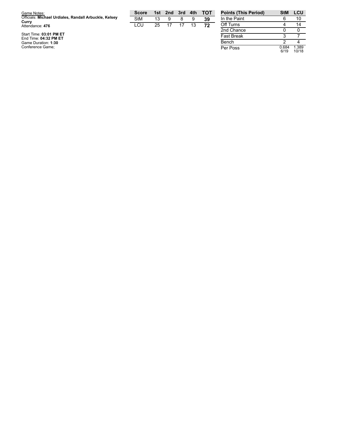| Game Notes:                                           | <b>Score</b> |    | 1st 2nd 3rd |    | 4th | <b>- тот</b> | <b>Points (This Period)</b> |
|-------------------------------------------------------|--------------|----|-------------|----|-----|--------------|-----------------------------|
| Officials: Michael Urdiales, Randall Arbuckle, Kelsey | <b>StM</b>   | 13 | 9           | 8  | 9   | 39           | In the Paint                |
| Curry<br>Attendance: 476                              | LCU          | 25 |             | 17 | 13  | 72           | Off Turns                   |
|                                                       |              |    |             |    |     |              | 2nd Chance                  |
| Start Time: 03:01 PM ET<br>End Time: 04:32 PM ET      |              |    |             |    |     |              | <b>Fast Break</b>           |
| Game Duration: 1:30                                   |              |    |             |    |     |              | Bench                       |
| Conference Game:                                      |              |    |             |    |     |              | Per Poss                    |

| <b>Points (This Period)</b> | StM           | LCU            |
|-----------------------------|---------------|----------------|
| In the Paint                | հ             | 10             |
| Off Turns                   |               | 14             |
| 2nd Chance                  | n             |                |
| <b>Fast Break</b>           | 3             |                |
| Bench                       | 2             |                |
| Per Poss                    | 0.684<br>6/19 | 1.389<br>10/18 |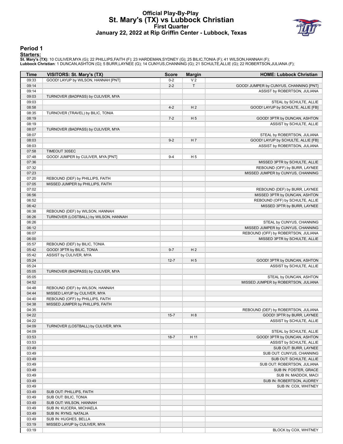# **Official Play-By-Play St. Mary's (TX) vs Lubbock Christian First Quarter January 22, 2022 at Rip Griffin Center - Lubbock, Texas**



## **Period 1**

#### **Starters:**

**St. Mary's (TX)**: 10 CULIVER,MYA (G); 22 PHILLIPS,FAITH (F); 23 HARDEMAN,SYDNEY (G); 25 BILIC,TONIA (F); 41 WILSON,HANNAH (F);<br>**Lubbock Christian**: 1 DUNCAN,ASHTON (G); 5 BURR,LAYNEE (G); 14 CUNYUS,CHANNING (G); 21 SCHULT

| Time  | VISITORS: St. Mary's (TX)             | <b>Score</b> | <b>Margin</b>  | <b>HOME: Lubbock Christian</b>         |
|-------|---------------------------------------|--------------|----------------|----------------------------------------|
| 09:33 | GOOD! LAYUP by WILSON, HANNAH [PNT]   | $0 - 2$      | V <sub>2</sub> |                                        |
| 09:14 |                                       | $2 - 2$      | $\top$         | GOOD! JUMPER by CUNYUS, CHANNING [PNT] |
| 09:14 |                                       |              |                | ASSIST by ROBERTSON, JULIANA           |
| 09:03 | TURNOVER (BADPASS) by CULIVER, MYA    |              |                |                                        |
| 09:03 |                                       |              |                | STEAL by SCHULTE, ALLIE                |
| 08:58 |                                       | $4 - 2$      | H <sub>2</sub> | GOOD! LAYUP by SCHULTE, ALLIE [FB]     |
| 08:35 | TURNOVER (TRAVEL) by BILIC, TONIA     |              |                |                                        |
| 08:19 |                                       | $7 - 2$      | H <sub>5</sub> | GOOD! 3PTR by DUNCAN, ASHTON           |
| 08:19 |                                       |              |                | ASSIST by SCHULTE, ALLIE               |
| 08:07 | TURNOVER (BADPASS) by CULIVER, MYA    |              |                |                                        |
| 08:07 |                                       |              |                | STEAL by ROBERTSON, JULIANA            |
| 08:03 |                                       | $9 - 2$      | H 7            | GOOD! LAYUP by SCHULTE, ALLIE [FB]     |
| 08:03 |                                       |              |                | ASSIST by ROBERTSON, JULIANA           |
| 07:58 | TIMEOUT 30SEC                         |              |                |                                        |
| 07:48 | GOOD! JUMPER by CULIVER, MYA [PNT]    | $9 - 4$      | H <sub>5</sub> |                                        |
| 07:36 |                                       |              |                | MISSED 3PTR by SCHULTE, ALLIE          |
| 07:32 |                                       |              |                | REBOUND (OFF) by BURR, LAYNEE          |
| 07:23 |                                       |              |                | MISSED JUMPER by CUNYUS, CHANNING      |
| 07:20 | REBOUND (DEF) by PHILLIPS, FAITH      |              |                |                                        |
| 07:05 | MISSED JUMPER by PHILLIPS, FAITH      |              |                |                                        |
| 07:02 |                                       |              |                | REBOUND (DEF) by BURR, LAYNEE          |
| 06:56 |                                       |              |                | MISSED 3PTR by DUNCAN, ASHTON          |
|       |                                       |              |                |                                        |
| 06:52 |                                       |              |                | REBOUND (OFF) by SCHULTE, ALLIE        |
| 06:42 | REBOUND (DEF) by WILSON, HANNAH       |              |                | MISSED 3PTR by BURR, LAYNEE            |
| 06:38 |                                       |              |                |                                        |
| 06:26 | TURNOVER (LOSTBALL) by WILSON, HANNAH |              |                |                                        |
| 06:26 |                                       |              |                | STEAL by CUNYUS, CHANNING              |
| 06:12 |                                       |              |                | MISSED JUMPER by CUNYUS, CHANNING      |
| 06:07 |                                       |              |                | REBOUND (OFF) by ROBERTSON, JULIANA    |
| 06:00 |                                       |              |                | MISSED 3PTR by SCHULTE, ALLIE          |
| 05:57 | REBOUND (DEF) by BILIC, TONIA         |              |                |                                        |
| 05:42 | GOOD! 3PTR by BILIC, TONIA            | $9 - 7$      | H <sub>2</sub> |                                        |
| 05:42 | ASSIST by CULIVER, MYA                |              |                |                                        |
| 05:24 |                                       | $12 - 7$     | H <sub>5</sub> | GOOD! 3PTR by DUNCAN, ASHTON           |
| 05:24 |                                       |              |                | ASSIST by SCHULTE, ALLIE               |
| 05:05 | TURNOVER (BADPASS) by CULIVER, MYA    |              |                |                                        |
| 05:05 |                                       |              |                | STEAL by DUNCAN, ASHTON                |
| 04:52 |                                       |              |                | MISSED JUMPER by ROBERTSON, JULIANA    |
| 04:48 | REBOUND (DEF) by WILSON, HANNAH       |              |                |                                        |
| 04:44 | MISSED LAYUP by CULIVER, MYA          |              |                |                                        |
| 04:40 | REBOUND (OFF) by PHILLIPS, FAITH      |              |                |                                        |
| 04:38 | MISSED JUMPER by PHILLIPS, FAITH      |              |                |                                        |
| 04:35 |                                       |              |                | REBOUND (DEF) by ROBERTSON, JULIANA    |
| 04:22 |                                       | $15 - 7$     | H 8            | GOOD! 3PTR by BURR, LAYNEE             |
| 04:22 |                                       |              |                | ASSIST by SCHULTE, ALLIE               |
| 04:09 | TURNOVER (LOSTBALL) by CULIVER, MYA   |              |                |                                        |
| 04:09 |                                       |              |                | STEAL by SCHULTE, ALLIE                |
| 03:53 |                                       | $18 - 7$     | H 11           | GOOD! 3PTR by DUNCAN, ASHTON           |
| 03:53 |                                       |              |                | ASSIST by SCHULTE, ALLIE               |
| 03:49 |                                       |              |                | SUB OUT: BURR, LAYNEE                  |
| 03:49 |                                       |              |                | SUB OUT: CUNYUS, CHANNING              |
| 03:49 |                                       |              |                | SUB OUT: SCHULTE, ALLIE                |
| 03:49 |                                       |              |                | SUB OUT: ROBERTSON, JULIANA            |
| 03:49 |                                       |              |                | SUB IN: FOSTER, GRACE                  |
| 03:49 |                                       |              |                | SUB IN: MADDOX, MACI                   |
| 03:49 |                                       |              |                | SUB IN: ROBERTSON, AUDREY              |
| 03:49 |                                       |              |                | SUB IN: COX, WHITNEY                   |
| 03:49 | SUB OUT: PHILLIPS, FAITH              |              |                |                                        |
| 03:49 | SUB OUT: BILIC, TONIA                 |              |                |                                        |
| 03:49 |                                       |              |                |                                        |
|       | SUB OUT: WILSON, HANNAH               |              |                |                                        |
| 03:49 | SUB IN: KUCERA, MICHAELA              |              |                |                                        |
| 03:49 | SUB IN: RYNG, NATALIA                 |              |                |                                        |
| 03:49 | SUB IN: HUGHES, BELLA                 |              |                |                                        |
| 03:19 | MISSED LAYUP by CULIVER, MYA          |              |                |                                        |
| 03:19 |                                       |              |                | BLOCK by COX, WHITNEY                  |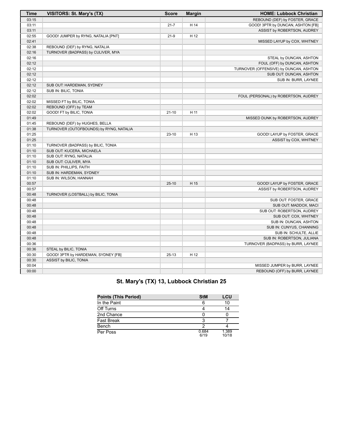| <b>Time</b> | VISITORS: St. Mary's (TX)               | <b>Score</b> | <b>Margin</b> | <b>HOME: Lubbock Christian</b>         |
|-------------|-----------------------------------------|--------------|---------------|----------------------------------------|
| 03:15       |                                         |              |               | REBOUND (DEF) by FOSTER, GRACE         |
| 03:11       |                                         | $21 - 7$     | H 14          | GOOD! 3PTR by DUNCAN, ASHTON [FB]      |
| 03:11       |                                         |              |               | ASSIST by ROBERTSON, AUDREY            |
| 02:55       | GOOD! JUMPER by RYNG, NATALIA [PNT]     | $21-9$       | H 12          |                                        |
| 02:41       |                                         |              |               | MISSED LAYUP by COX, WHITNEY           |
| 02:38       | REBOUND (DEF) by RYNG, NATALIA          |              |               |                                        |
| 02:16       | TURNOVER (BADPASS) by CULIVER, MYA      |              |               |                                        |
| 02:16       |                                         |              |               | STEAL by DUNCAN, ASHTON                |
| 02:12       |                                         |              |               | FOUL (OFF) by DUNCAN, ASHTON           |
| 02:12       |                                         |              |               | TURNOVER (OFFENSIVE) by DUNCAN, ASHTON |
| 02:12       |                                         |              |               | SUB OUT: DUNCAN, ASHTON                |
| 02:12       |                                         |              |               | SUB IN: BURR, LAYNEE                   |
| 02:12       | SUB OUT: HARDEMAN, SYDNEY               |              |               |                                        |
| 02:12       | SUB IN: BILIC, TONIA                    |              |               |                                        |
| 02:02       |                                         |              |               | FOUL (PERSONAL) by ROBERTSON, AUDREY   |
| 02:02       | MISSED FT by BILIC, TONIA               |              |               |                                        |
| 02:02       | REBOUND (OFF) by TEAM                   |              |               |                                        |
| 02:02       | GOOD! FT by BILIC, TONIA                | $21 - 10$    | H 11          |                                        |
| 01:49       |                                         |              |               | MISSED DUNK by ROBERTSON, AUDREY       |
| 01:45       | REBOUND (DEF) by HUGHES, BELLA          |              |               |                                        |
| 01:38       | TURNOVER (OUTOFBOUNDS) by RYNG, NATALIA |              |               |                                        |
| 01:25       |                                         | $23 - 10$    | H 13          | GOOD! LAYUP by FOSTER, GRACE           |
| 01:25       |                                         |              |               | ASSIST by COX, WHITNEY                 |
| 01:10       | TURNOVER (BADPASS) by BILIC, TONIA      |              |               |                                        |
| 01:10       | SUB OUT: KUCERA, MICHAELA               |              |               |                                        |
| 01:10       | SUB OUT: RYNG, NATALIA                  |              |               |                                        |
| 01:10       | SUB OUT: CULIVER, MYA                   |              |               |                                        |
| 01:10       | SUB IN: PHILLIPS, FAITH                 |              |               |                                        |
| 01:10       | SUB IN: HARDEMAN, SYDNEY                |              |               |                                        |
| 01:10       | SUB IN: WILSON, HANNAH                  |              |               |                                        |
| 00:57       |                                         | $25-10$      | H 15          | GOOD! LAYUP by FOSTER, GRACE           |
| 00:57       |                                         |              |               | ASSIST by ROBERTSON, AUDREY            |
| 00:48       | TURNOVER (LOSTBALL) by BILIC, TONIA     |              |               |                                        |
| 00:48       |                                         |              |               | SUB OUT: FOSTER, GRACE                 |
| 00:48       |                                         |              |               | SUB OUT: MADDOX, MACI                  |
| 00:48       |                                         |              |               | SUB OUT: ROBERTSON, AUDREY             |
| 00:48       |                                         |              |               | SUB OUT: COX, WHITNEY                  |
| 00:48       |                                         |              |               | SUB IN: DUNCAN, ASHTON                 |
| 00:48       |                                         |              |               | SUB IN: CUNYUS, CHANNING               |
| 00:48       |                                         |              |               | SUB IN: SCHULTE, ALLIE                 |
| 00:48       |                                         |              |               | SUB IN: ROBERTSON, JULIANA             |
| 00:36       |                                         |              |               | TURNOVER (BADPASS) by BURR, LAYNEE     |
| 00:36       | STEAL by BILIC, TONIA                   |              |               |                                        |
| 00:30       | GOOD! 3PTR by HARDEMAN, SYDNEY [FB]     | $25-13$      | H 12          |                                        |
| 00:30       | ASSIST by BILIC, TONIA                  |              |               |                                        |
| 00:04       |                                         |              |               | MISSED JUMPER by BURR, LAYNEE          |
| 00:00       |                                         |              |               | REBOUND (OFF) by BURR, LAYNEE          |

# **St. Mary's (TX) 13, Lubbock Christian 25**

| <b>Points (This Period)</b> | <b>StM</b>    | LCU            |
|-----------------------------|---------------|----------------|
| In the Paint                |               | 10             |
| Off Turns                   |               | 14             |
| 2nd Chance                  |               |                |
| <b>Fast Break</b>           |               |                |
| Bench                       |               |                |
| Per Poss                    | 0.684<br>6/19 | 1.389<br>10/18 |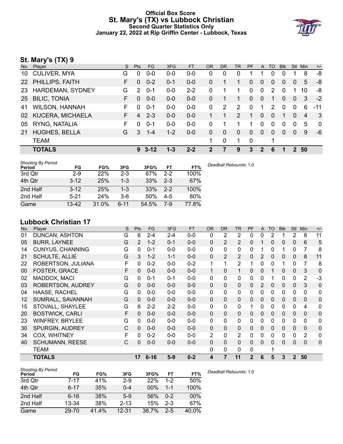# **Official Box Score St. Mary's (TX) vs Lubbock Christian Second Quarter Statistics Only January 22, 2022 at Rip Griffin Center - Lubbock, Texas**



# **St. Mary's (TX) 9**

| No.             | Player                | S. | <b>Pts</b>     | FG.            | 3FG     | <b>FT</b> | <b>OR</b> | D <sub>R</sub> | TR             | <b>PF</b> | A              | TO           | <b>Blk</b> | Stl      | <b>Min</b>     | $+/-$       |
|-----------------|-----------------------|----|----------------|----------------|---------|-----------|-----------|----------------|----------------|-----------|----------------|--------------|------------|----------|----------------|-------------|
| 10              | <b>CULIVER, MYA</b>   | G  | $\Omega$       | $0 - 0$        | 0-0     | $0-0$     | 0         | $\Omega$       | 0              |           |                | 0            | 0          |          | 8              | -8          |
|                 | 22 PHILLIPS, FAITH    | F. | $\Omega$       | $0 - 2$        | $0 - 1$ | $0-0$     | 0         |                | 1              | 0         | $\overline{0}$ | 0            | $\Omega$   | $\Omega$ | 5              | -8          |
| 23              | HARDEMAN, SYDNEY      | G  | 2              | $0 - 1$        | $0-0$   | $2 - 2$   | 0         |                | 1              | 0         | $\mathbf{0}$   | 2            | $\Omega$   |          | 10             | -8          |
| 25 <sub>2</sub> | <b>BILIC, TONIA</b>   | F. | $\Omega$       | $0 - 0$        | $0-0$   | $0 - 0$   | $\Omega$  |                | 1              | 0         | $\mathbf{0}$   | 1            | $\Omega$   | $\Omega$ | 3              | $-2$        |
| 41              | <b>WILSON, HANNAH</b> | F. | $\Omega$       | $0 - 1$        | $0-0$   | $0-0$     | $\Omega$  | 2              | $\overline{2}$ | $\Omega$  |                | 2            | $\Omega$   | $\Omega$ | 6              | $-11$       |
|                 | 02 KUCERA, MICHAELA   | F. | $\overline{4}$ | $2 - 3$        | $0-0$   | $0 - 0$   |           |                | 2              | 1         | $\Omega$       | $\Omega$     | 1          | $\Omega$ | $\overline{4}$ | - 3         |
| 05              | RYNG, NATALIA         | F. | $\Omega$       | $0 - 1$        | $0-0$   | $0 - 0$   | $\Omega$  |                | 1              | 1         | $\Omega$       | 0            | 0          | $\Omega$ | 5              | $\mathbf 0$ |
| 21              | <b>HUGHES, BELLA</b>  | G  | 3              | $1 - 4$        | $1 - 2$ | $0 - 0$   | $\Omega$  | $\mathbf{0}$   | $\mathbf{0}$   | 0         | $\mathbf{0}$   | $\mathbf{0}$ | $\Omega$   | $\Omega$ | 9              | $-6$        |
|                 | <b>TEAM</b>           |    |                |                |         |           | 1         | $\mathbf 0$    | 1              | 0         |                | 1            |            |          |                |             |
|                 | <b>TOTALS</b>         |    |                | $9 \quad 3-12$ | $1 - 3$ | $2 - 2$   | 2         | 7              | 9              | 3         | $\mathbf{2}$   | 6            | 1          | 2        | 50             |             |
|                 |                       |    |                |                |         |           |           |                |                |           |                |              |            |          |                |             |

| <b>Shooting By Period</b><br>Period | FG       | FG%   | 3FG      | 3FG%  | FT      | FT%   | Deadball Rebounds: 1,0 |
|-------------------------------------|----------|-------|----------|-------|---------|-------|------------------------|
| 3rd Qtr                             | $2-9$    | 22%   | $2 - 3$  | 67%   | $2 - 2$ | 100%  |                        |
| 4th Qtr                             | $3 - 12$ | 25%   | $1 - 3$  | 33%   | $2 - 3$ | 67%   |                        |
| 2nd Half                            | $3 - 12$ | 25%   | $1 - 3$  | 33%   | $2 - 2$ | 100%  |                        |
| 2nd Half                            | $5 - 21$ | 24%   | $3-6$    | 50%   | $4 - 5$ | 80%   |                        |
| Game                                | 13-42    | 31.0% | $6 - 11$ | 54.5% | 7-9     | 77.8% |                        |

# **Lubbock Christian 17**

| No. | Player                  | S | Pts      | <b>FG</b> | 3FG     | <b>FT</b> | <b>OR</b>      | <b>DR</b>    | <b>TR</b>      | PF             | A            | <b>TO</b> | <b>Blk</b>   | <b>Stl</b>     | Min            | $+/-$        |
|-----|-------------------------|---|----------|-----------|---------|-----------|----------------|--------------|----------------|----------------|--------------|-----------|--------------|----------------|----------------|--------------|
| 01  | <b>DUNCAN, ASHTON</b>   | G | 6        | $2 - 4$   | $2 - 4$ | $0 - 0$   | 0              | 2            | 2              | 0              | 0            | 2         |              | 2              | 8              | 11           |
| 05  | <b>BURR, LAYNEE</b>     | G | 2        | $1 - 2$   | $0 - 1$ | $0-0$     | 0              | 2            | $\overline{2}$ | $\mathbf{0}$   | 1            | 0         | 0            | 0              | 6              | 5            |
| 14  | <b>CUNYUS, CHANNING</b> | G | 0        | $0 - 1$   | $0 - 0$ | $0 - 0$   | $\mathbf{0}$   | 0            | $\mathbf{0}$   | 0              | 1            | 0         |              | $\Omega$       | 7              | 8            |
| 21  | <b>SCHULTE, ALLIE</b>   | G | 3        | $1 - 2$   | $1 - 1$ | $0-0$     | 0              | 2            | 2              | $\mathbf{0}$   | 2            | 0         | $\mathbf{0}$ | $\mathbf{0}$   | 8              | 11           |
| 22  | ROBERTSON, JULIANA      | F | 0        | $0 - 2$   | $0-0$   | $0 - 2$   | 1              | 1            | $\overline{2}$ | 1              | 0            | 0         |              | $\Omega$       | 7              | 8            |
| 00  | <b>FOSTER, GRACE</b>    | F | 0        | $0 - 0$   | $0 - 0$ | $0 - 0$   | 1              | $\Omega$     | 1              | 0              | 0            |           | 0            | $\mathbf{0}$   | 3              | 0            |
| 02  | MADDOX, MACI            | G | 0        | 0-1       | $0 - 1$ | $0 - 0$   | 0              | 0            | $\mathbf{0}$   | 0              | 0            |           | $\mathbf{0}$ | 0              | $\overline{2}$ | $-3$         |
| 03  | ROBERTSON, AUDREY       | G | 0        | $0 - 0$   | $0 - 0$ | $0 - 0$   | $\mathbf{0}$   | $\Omega$     | $\Omega$       | $\Omega$       | 2            | 0         | $\mathbf{0}$ | 0              | 3              | $\Omega$     |
| 04  | HAASE, RACHEL           | G | 0        | $0 - 0$   | $0 - 0$ | $0 - 0$   | 0              | 0            | $\mathbf{0}$   | 0              | 0            | 0         | $\Omega$     | 0              | $\mathbf{0}$   | 0            |
| 12  | SUMRALL, SAVANNAH       | G | 0        | $0 - 0$   | $0-0$   | $0-0$     | $\mathbf{0}$   | 0            | $\Omega$       | 0              | 0            | 0         | $\Omega$     | 0              | 0              | 0            |
| 15  | STOVALL, SHAYLEE        | G | 6        | $2 - 2$   | $2 - 2$ | $0 - 0$   | 0              | 0            | $\mathbf{0}$   |                | 0            | 0         | $\Omega$     | 0              | 4              | $\mathbf{0}$ |
| 20  | <b>BOSTWICK, CARLI</b>  | F | $\Omega$ | $0 - 0$   | $0 - 0$ | $0 - 0$   | $\mathbf{0}$   | $\mathbf{0}$ | $\mathbf{0}$   | $\Omega$       | 0            | 0         | $\mathbf{0}$ | $\mathbf{0}$   | 0              | $\mathbf 0$  |
| 23  | <b>WINFREY, BRYLEE</b>  | G | 0        | $0 - 0$   | $0 - 0$ | $0 - 0$   | 0              | $\mathbf{0}$ | $\mathbf{0}$   | $\Omega$       | 0            | 0         | $\Omega$     | $\mathbf{0}$   | $\mathbf 0$    | $\mathbf 0$  |
| 30  | <b>SPURGIN, AUDREY</b>  | C | 0        | $0 - 0$   | $0 - 0$ | $0 - 0$   | 0              | $\mathbf{0}$ | $\mathbf{0}$   | $\Omega$       | $\mathbf{0}$ | 0         | $\mathbf{0}$ | $\mathbf{0}$   | $\mathbf{0}$   | $\mathbf 0$  |
| 34  | COX, WHITNEY            | F | $\Omega$ | $0 - 2$   | $0-0$   | $0 - 0$   | $\overline{2}$ | 0            | $\overline{2}$ | 0              | 0            | 0         | $\mathbf{0}$ | $\mathbf{0}$   | 2              | $\mathbf 0$  |
| 40  | <b>SCHUMANN, REESE</b>  | C | $\Omega$ | $0 - 0$   | $0 - 0$ | $0 - 0$   | 0              | $\mathbf{0}$ | $\Omega$       | $\Omega$       | 0            | 0         | $\Omega$     | 0              | 0              | $\mathbf{0}$ |
|     | TEAM                    |   |          |           |         |           | 0              | 0            | 0              | 0              |              | 1         |              |                |                |              |
|     | <b>TOTALS</b>           |   | 17       | $6 - 16$  | $5-9$   | $0 - 2$   | 4              | 7            | 11             | $\overline{2}$ | 6            | 5         | 3            | $\overline{2}$ | 50             |              |

| <b>Shooting By Period</b><br>Period | FG       | FG%   | 3FG       | 3FG%  | FT      | FT%   | Deadball Rebounds: 1,0 |
|-------------------------------------|----------|-------|-----------|-------|---------|-------|------------------------|
| 3rd Qtr                             | 7-17     | 41%   | $2-9$     | 22%   | $1-2$   | 50%   |                        |
| 4th Qtr                             | $6 - 17$ | 35%   | $0 - 4$   | 00%   | 1-1     | 100%  |                        |
| 2nd Half                            | $6 - 16$ | 38%   | $5-9$     | 56%   | $0 - 2$ | 00%   |                        |
| 2nd Half                            | 13-34    | 38%   | $2 - 13$  | 15%   | $2 - 3$ | 67%   |                        |
| Game                                | 29-70    | 41.4% | $12 - 31$ | 38.7% | $2-5$   | 40.0% |                        |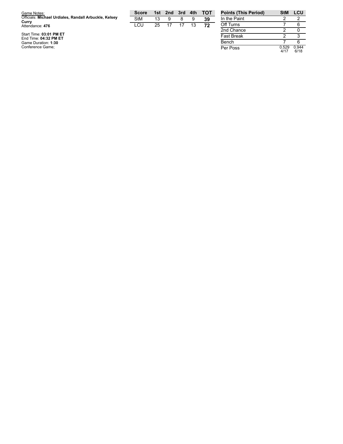| Game Notes:                                                    | <b>Score</b> |    | 1st 2nd 3rd | 4th | <b>TOT</b> | <b>Points (This Period)</b> |
|----------------------------------------------------------------|--------------|----|-------------|-----|------------|-----------------------------|
| Officials: Michael Urdiales, Randall Arbuckle, Kelsey<br>Curry | <b>StM</b>   | 13 | 9           |     | 39         | In the Paint                |
| Attendance: 476                                                | LCU          | 25 | 17          |     | 72         | Off Turns                   |
|                                                                |              |    |             |     |            | 2nd Chance                  |
| Start Time: 03:01 PM ET<br>End Time: 04:32 PM ET               |              |    |             |     |            | <b>Fast Break</b>           |
| Game Duration: 1:30                                            |              |    |             |     |            | Bench                       |
| Conference Game:                                               |              |    |             |     |            | Per Poss                    |

2 0 2 3 7 6 Per Poss 0.5 2 9 4 / 1 7 0.9 4 4 6 / 1 8

**Points (This Period) StM LCU**

2

6

2

7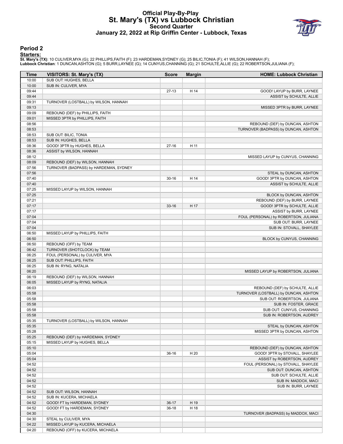# **Official Play-By-Play St. Mary's (TX) vs Lubbock Christian Second Quarter January 22, 2022 at Rip Griffin Center - Lubbock, Texas**



## **Period 2**

#### **Starters:**

**St. Mary's (TX)**: 10 CULIVER,MYA (G); 22 PHILLIPS,FAITH (F); 23 HARDEMAN,SYDNEY (G); 25 BILIC,TONIA (F); 41 WILSON,HANNAH (F);<br>**Lubbock Christian**: 1 DUNCAN,ASHTON (G); 5 BURR,LAYNEE (G); 14 CUNYUS,CHANNING (G); 21 SCHULT

| Time           | VISITORS: St. Mary's (TX)                                   | <b>Score</b> | <b>Margin</b> | <b>HOME: Lubbock Christian</b>                                 |
|----------------|-------------------------------------------------------------|--------------|---------------|----------------------------------------------------------------|
| 10:00          | SUB OUT: HUGHES, BELLA                                      |              |               |                                                                |
| 10:00          | SUB IN: CULIVER, MYA                                        |              |               |                                                                |
| 09:44          |                                                             | $27-13$      | H 14          | GOOD! LAYUP by BURR, LAYNEE                                    |
| 09:44          |                                                             |              |               | ASSIST by SCHULTE, ALLIE                                       |
| 09:31          | TURNOVER (LOSTBALL) by WILSON, HANNAH                       |              |               |                                                                |
| 09:13          |                                                             |              |               | MISSED 3PTR by BURR, LAYNEE                                    |
| 09:09          | REBOUND (DEF) by PHILLIPS, FAITH                            |              |               |                                                                |
| 09:01          | MISSED 3PTR by PHILLIPS, FAITH                              |              |               |                                                                |
| 08:56          |                                                             |              |               | REBOUND (DEF) by DUNCAN, ASHTON                                |
| 08:53          |                                                             |              |               | TURNOVER (BADPASS) by DUNCAN, ASHTON                           |
| 08:53          | SUB OUT: BILIC, TONIA                                       |              |               |                                                                |
| 08:53<br>08:36 | SUB IN: HUGHES, BELLA                                       | $27-16$      | H 11          |                                                                |
| 08:36          | GOOD! 3PTR by HUGHES, BELLA<br>ASSIST by WILSON, HANNAH     |              |               |                                                                |
| 08:12          |                                                             |              |               | MISSED LAYUP by CUNYUS, CHANNING                               |
| 08:09          | REBOUND (DEF) by WILSON, HANNAH                             |              |               |                                                                |
| 07:56          | TURNOVER (BADPASS) by HARDEMAN, SYDNEY                      |              |               |                                                                |
| 07:56          |                                                             |              |               | STEAL by DUNCAN, ASHTON                                        |
| 07:40          |                                                             | $30 - 16$    | H 14          | GOOD! 3PTR by DUNCAN, ASHTON                                   |
| 07:40          |                                                             |              |               | ASSIST by SCHULTE, ALLIE                                       |
| 07:25          | MISSED LAYUP by WILSON, HANNAH                              |              |               |                                                                |
| 07:25          |                                                             |              |               | BLOCK by DUNCAN, ASHTON                                        |
| 07:21          |                                                             |              |               | REBOUND (DEF) by BURR, LAYNEE                                  |
| 07:17          |                                                             | $33-16$      | H 17          | GOOD! 3PTR by SCHULTE, ALLIE                                   |
| 07:17          |                                                             |              |               | ASSIST by BURR, LAYNEE                                         |
| 07:04          |                                                             |              |               | FOUL (PERSONAL) by ROBERTSON, JULIANA                          |
| 07:04          |                                                             |              |               | SUB OUT: BURR, LAYNEE                                          |
| 07:04          |                                                             |              |               | SUB IN: STOVALL, SHAYLEE                                       |
| 06:50          | MISSED LAYUP by PHILLIPS, FAITH                             |              |               |                                                                |
| 06:50          |                                                             |              |               | BLOCK by CUNYUS, CHANNING                                      |
| 06:50          | REBOUND (OFF) by TEAM                                       |              |               |                                                                |
| 06:42          | TURNOVER (SHOTCLOCK) by TEAM                                |              |               |                                                                |
| 06:25<br>06:25 | FOUL (PERSONAL) by CULIVER, MYA<br>SUB OUT: PHILLIPS, FAITH |              |               |                                                                |
| 06:25          | SUB IN: RYNG, NATALIA                                       |              |               |                                                                |
| 06:20          |                                                             |              |               | MISSED LAYUP by ROBERTSON, JULIANA                             |
| 06:19          | REBOUND (DEF) by WILSON, HANNAH                             |              |               |                                                                |
| 06:05          | MISSED LAYUP by RYNG, NATALIA                               |              |               |                                                                |
| 06:03          |                                                             |              |               | REBOUND (DEF) by SCHULTE, ALLIE                                |
| 05:58          |                                                             |              |               | TURNOVER (LOSTBALL) by DUNCAN, ASHTON                          |
| 05:58          |                                                             |              |               | SUB OUT: ROBERTSON, JULIANA                                    |
| 05:58          |                                                             |              |               | SUB IN: FOSTER, GRACE                                          |
| 05:58          |                                                             |              |               | SUB OUT: CUNYUS, CHANNING                                      |
| 05:58          |                                                             |              |               | SUB IN: ROBERTSON, AUDREY                                      |
| 05:35          | TURNOVER (LOSTBALL) by WILSON, HANNAH                       |              |               |                                                                |
| 05:35          |                                                             |              |               | STEAL by DUNCAN, ASHTON                                        |
| 05:28          |                                                             |              |               | MISSED 3PTR by DUNCAN, ASHTON                                  |
| 05:25          | REBOUND (DEF) by HARDEMAN, SYDNEY                           |              |               |                                                                |
| 05:15          | MISSED LAYUP by HUGHES, BELLA                               |              |               |                                                                |
| 05:10          |                                                             |              |               | REBOUND (DEF) by DUNCAN, ASHTON                                |
| 05:04          |                                                             | $36-16$      | H 20          | GOOD! 3PTR by STOVALL, SHAYLEE                                 |
| 05:04          |                                                             |              |               | ASSIST by ROBERTSON, AUDREY                                    |
| 04:52          |                                                             |              |               | FOUL (PERSONAL) by STOVALL, SHAYLEE<br>SUB OUT: DUNCAN, ASHTON |
| 04:52<br>04:52 |                                                             |              |               | SUB OUT: SCHULTE, ALLIE                                        |
| 04:52          |                                                             |              |               | SUB IN: MADDOX, MACI                                           |
| 04:52          |                                                             |              |               | SUB IN: BURR, LAYNEE                                           |
| 04:52          | SUB OUT: WILSON, HANNAH                                     |              |               |                                                                |
| 04:52          | SUB IN: KUCERA, MICHAELA                                    |              |               |                                                                |
| 04:52          | GOOD! FT by HARDEMAN, SYDNEY                                | $36-17$      | H 19          |                                                                |
| 04:52          | GOOD! FT by HARDEMAN, SYDNEY                                | $36-18$      | H 18          |                                                                |
| 04:30          |                                                             |              |               | TURNOVER (BADPASS) by MADDOX, MACI                             |
| 04:30          | STEAL by CULIVER, MYA                                       |              |               |                                                                |
| 04:22          | MISSED LAYUP by KUCERA, MICHAELA                            |              |               |                                                                |
| 04:20          | REBOUND (OFF) by KUCERA, MICHAELA                           |              |               |                                                                |
|                |                                                             |              |               |                                                                |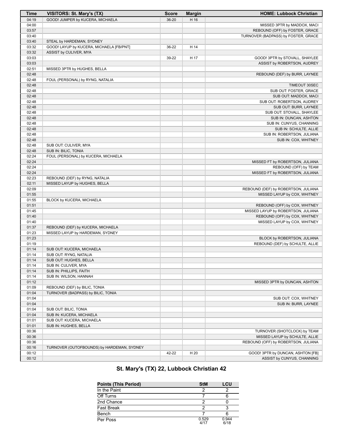| <b>Time</b> | <b>VISITORS: St. Mary's (TX)</b>           | <b>Score</b> | <b>Margin</b> | <b>HOME: Lubbock Christian</b>      |
|-------------|--------------------------------------------|--------------|---------------|-------------------------------------|
| 04:19       | GOOD! JUMPER by KUCERA, MICHAELA           | 36-20        | H 16          |                                     |
| 04:00       |                                            |              |               | MISSED 3PTR by MADDOX, MACI         |
| 03:57       |                                            |              |               | REBOUND (OFF) by FOSTER, GRACE      |
| 03:40       |                                            |              |               | TURNOVER (BADPASS) by FOSTER, GRACE |
| 03:40       | STEAL by HARDEMAN, SYDNEY                  |              |               |                                     |
| 03:32       | GOOD! LAYUP by KUCERA, MICHAELA [FB/PNT]   | 36-22        | H 14          |                                     |
| 03:32       | ASSIST by CULIVER, MYA                     |              |               |                                     |
| 03:03       |                                            | 39-22        | H 17          | GOOD! 3PTR by STOVALL, SHAYLEE      |
| 03:03       |                                            |              |               | ASSIST by ROBERTSON, AUDREY         |
| 02:51       | MISSED 3PTR by HUGHES, BELLA               |              |               |                                     |
| 02:48       |                                            |              |               | REBOUND (DEF) by BURR, LAYNEE       |
| 02:48       | FOUL (PERSONAL) by RYNG, NATALIA           |              |               |                                     |
| 02:48       |                                            |              |               | TIMEOUT 30SEC                       |
| 02:48       |                                            |              |               | SUB OUT: FOSTER, GRACE              |
| 02:48       |                                            |              |               | SUB OUT: MADDOX, MACI               |
| 02:48       |                                            |              |               | SUB OUT: ROBERTSON, AUDREY          |
| 02:48       |                                            |              |               | SUB OUT: BURR, LAYNEE               |
| 02:48       |                                            |              |               | SUB OUT: STOVALL, SHAYLEE           |
| 02:48       |                                            |              |               | SUB IN: DUNCAN, ASHTON              |
| 02:48       |                                            |              |               | SUB IN: CUNYUS, CHANNING            |
| 02:48       |                                            |              |               | SUB IN: SCHULTE, ALLIE              |
| 02:48       |                                            |              |               | SUB IN: ROBERTSON, JULIANA          |
| 02:48       |                                            |              |               | SUB IN: COX, WHITNEY                |
| 02:48       | SUB OUT: CULIVER, MYA                      |              |               |                                     |
| 02:48       | SUB IN: BILIC, TONIA                       |              |               |                                     |
| 02:24       | FOUL (PERSONAL) by KUCERA, MICHAELA        |              |               |                                     |
| 02:24       |                                            |              |               | MISSED FT by ROBERTSON, JULIANA     |
| 02:24       |                                            |              |               | REBOUND (OFF) by TEAM               |
| 02:24       |                                            |              |               | MISSED FT by ROBERTSON, JULIANA     |
| 02:23       | REBOUND (DEF) by RYNG, NATALIA             |              |               |                                     |
| 02:11       | MISSED LAYUP by HUGHES, BELLA              |              |               |                                     |
| 02:09       |                                            |              |               | REBOUND (DEF) by ROBERTSON, JULIANA |
| 01:55       |                                            |              |               | MISSED LAYUP by COX, WHITNEY        |
| 01:55       | BLOCK by KUCERA, MICHAELA                  |              |               |                                     |
| 01:51       |                                            |              |               | REBOUND (OFF) by COX, WHITNEY       |
| 01:45       |                                            |              |               | MISSED LAYUP by ROBERTSON, JULIANA  |
| 01:40       |                                            |              |               | REBOUND (OFF) by COX, WHITNEY       |
| 01:40       |                                            |              |               | MISSED LAYUP by COX, WHITNEY        |
| 01:37       | REBOUND (DEF) by KUCERA, MICHAELA          |              |               |                                     |
| 01:23       | MISSED LAYUP by HARDEMAN, SYDNEY           |              |               |                                     |
| 01:23       |                                            |              |               | BLOCK by ROBERTSON, JULIANA         |
| 01:19       |                                            |              |               | REBOUND (DEF) by SCHULTE, ALLIE     |
| 01:14       | SUB OUT: KUCERA, MICHAELA                  |              |               |                                     |
| 01:14       | SUB OUT: RYNG, NATALIA                     |              |               |                                     |
| 01:14       | SUB OUT: HUGHES, BELLA                     |              |               |                                     |
| 01:14       | SUB IN: CULIVER, MYA                       |              |               |                                     |
| 01:14       | SUB IN: PHILLIPS, FAITH                    |              |               |                                     |
| 01:14       | SUB IN: WILSON, HANNAH                     |              |               |                                     |
| 01:12       |                                            |              |               | MISSED 3PTR by DUNCAN, ASHTON       |
| 01:09       | REBOUND (DEF) by BILIC, TONIA              |              |               |                                     |
| 01:04       | TURNOVER (BADPASS) by BILIC, TONIA         |              |               |                                     |
| 01:04       |                                            |              |               | SUB OUT: COX, WHITNEY               |
| 01:04       |                                            |              |               | SUB IN: BURR, LAYNEE                |
| 01:04       | SUB OUT: BILIC, TONIA                      |              |               |                                     |
| 01:04       | SUB IN: KUCERA, MICHAELA                   |              |               |                                     |
| 01:01       | SUB OUT: KUCERA, MICHAELA                  |              |               |                                     |
| 01:01       | SUB IN: HUGHES, BELLA                      |              |               |                                     |
| 00:36       |                                            |              |               | TURNOVER (SHOTCLOCK) by TEAM        |
| 00:36       |                                            |              |               | MISSED LAYUP by SCHULTE, ALLIE      |
| 00:36       |                                            |              |               | REBOUND (OFF) by ROBERTSON, JULIANA |
| 00:16       | TURNOVER (OUTOFBOUNDS) by HARDEMAN, SYDNEY |              |               |                                     |
| 00:12       |                                            | 42-22        | H 20          | GOOD! 3PTR by DUNCAN, ASHTON [FB]   |
| 00:12       |                                            |              |               | ASSIST by CUNYUS, CHANNING          |

# **St. Mary's (TX) 22, Lubbock Christian 42**

| <b>Points (This Period)</b> | <b>StM</b>    | LCU           |
|-----------------------------|---------------|---------------|
| In the Paint                |               |               |
| Off Turns                   |               |               |
| 2nd Chance                  |               |               |
| <b>Fast Break</b>           |               |               |
| Bench                       |               |               |
| Per Poss                    | 0.529<br>4/17 | 0.944<br>6/18 |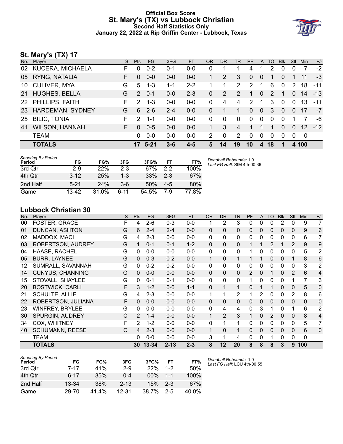# **Official Box Score St. Mary's (TX) vs Lubbock Christian Second Half Statistics Only January 22, 2022 at Rip Griffin Center - Lubbock, Texas**



# **St. Mary's (TX) 17**

| No. | Player                  | S. | <b>Pts</b>    | FG.      | 3FG     | <b>FT</b> | <b>OR</b> | <b>DR</b> | <b>TR</b>      | <b>PF</b> | A              | TO       | <b>Blk</b>   | Stl          | Min             | $+/-$ |
|-----|-------------------------|----|---------------|----------|---------|-----------|-----------|-----------|----------------|-----------|----------------|----------|--------------|--------------|-----------------|-------|
| 02  | KUCERA, MICHAELA        | F  | 0             | $0 - 2$  | $0 - 1$ | $0 - 0$   | 0         |           |                | 4         |                | 2        | 0            | 0            | 7               | $-2$  |
| 05  | RYNG, NATALIA           | F. | $\Omega$      | $0 - 0$  | $0-0$   | $0 - 0$   |           | 2         | 3              | $\Omega$  | $\overline{0}$ |          | 0            |              | 11              | -3    |
| 10  | <b>CULIVER, MYA</b>     | G  | 5             | $1 - 3$  | 1-1     | $2 - 2$   |           | 1         | 2              | 2         | -1             | 6        | $\mathbf 0$  | 2            | 18              | $-11$ |
| 21  | <b>HUGHES, BELLA</b>    | G  | $\mathcal{P}$ | $0 - 1$  | $0 - 0$ | $2 - 3$   | 0         | 2         | $\overline{2}$ | 1         | $\mathbf{0}$   | 2        | 1            | $\Omega$     | 14              | $-13$ |
|     | 22 PHILLIPS, FAITH      | F. | $\mathcal{P}$ | $1 - 3$  | $0 - 0$ | $0 - 0$   | 0         | 4         | 4              | 2         | 1              | 3        | $\mathbf{0}$ | $\mathbf{0}$ | 13              | $-11$ |
| 23  | <b>HARDEMAN, SYDNEY</b> | G  | 6             | $2 - 6$  | $2 - 4$ | $0 - 0$   | 0         |           | 1              | $\Omega$  | $\mathbf{0}$   | 3        | $\Omega$     | $\Omega$     | 17              | $-7$  |
| 25  | <b>BILIC, TONIA</b>     | F. | $\mathcal{P}$ | $1 - 1$  | $0-0$   | $0 - 0$   | 0         | $\Omega$  | 0              | $\Omega$  | $\mathbf{0}$   | $\Omega$ | $\Omega$     |              | 7               | -6    |
| 41  | WILSON, HANNAH          | F. | $\Omega$      | $0 - 5$  | $0 - 0$ | $0 - 0$   |           | 3         | 4              |           |                |          | 0            | $\Omega$     | 12 <sup>1</sup> | $-12$ |
|     | <b>TEAM</b>             |    | 0             | $0 - 0$  | $0-0$   | $0 - 0$   | 2         | $\Omega$  | 2              | $\Omega$  | 0              | $\Omega$ | $\Omega$     | $\Omega$     | 0               |       |
|     | <b>TOTALS</b>           |    |               | $5 - 21$ | $3 - 6$ | $4 - 5$   | 5         | 14        | 19             | 10        | 4              | 18       | 1            |              | 4 100           |       |

| <b>Shooting By Period</b><br>Period | FG       | FG%   | 3FG     | 3FG%  | FT      | FT%   | Deadball Rebounds: 1,0<br>Last FG Half: StM 4th-00:36 |
|-------------------------------------|----------|-------|---------|-------|---------|-------|-------------------------------------------------------|
| 3rd Qtr                             | $2-9$    | 22%   | $2-3$   | 67%   | $2-2$   | 100%  |                                                       |
| 4th Qtr                             | $3 - 12$ | 25%   | $1 - 3$ | 33%   | $2 - 3$ | 67%   |                                                       |
| 2nd Half                            | $5 - 21$ | 24%   | $3-6$   | 50%   | $4-5$   | 80%   |                                                       |
| Game                                | 13-42    | 31.0% | 6-11    | 54.5% | 7-9     | 77.8% |                                                       |

# **Lubbock Christian 30**

| No. | Player                   | S | <b>Pts</b>     | <b>FG</b> | 3FG      | <b>FT</b> | <b>OR</b>    | <b>DR</b>      | <b>TR</b>      | PF       | A        | <b>TO</b> | <b>Blk</b>   | Stl            | Min          | $+/-$          |
|-----|--------------------------|---|----------------|-----------|----------|-----------|--------------|----------------|----------------|----------|----------|-----------|--------------|----------------|--------------|----------------|
| 00  | FOSTER, GRACE            | F | 4              | $2-6$     | $0 - 3$  | $0-0$     |              | 2              | 3              | 0        | 0        | 0         | 2            | 0              | 9            | $\overline{7}$ |
| 01  | DUNCAN, ASHTON           | G | 6              | $2 - 4$   | $2 - 4$  | $0 - 0$   | $\Omega$     | 0              | 0              | 0        | 0        | 0         | 0            | 0              | 9            | 6              |
| 02  | MADDOX, MACI             | G | 4              | $2 - 3$   | $0 - 0$  | $0-0$     | 0            | 0              | 0              | 0        | 0        | 0         | 0            | 0              | 6            | 7              |
| 03  | <b>ROBERTSON, AUDREY</b> | G |                | $0 - 1$   | $0 - 1$  | $1 - 2$   | $\mathbf{0}$ | $\mathbf 0$    | 0              |          |          | 2         |              | 2              | 9            | 9              |
| 04  | HAASE, RACHEL            | G | 0              | $0-0$     | $0 - 0$  | $0-0$     | 0            | 0              | $\mathbf{0}$   |          | 0        | 0         | 0            | 0              | 5            | 2              |
| 05  | <b>BURR, LAYNEE</b>      | G | 0              | $0 - 3$   | $0 - 2$  | $0-0$     | $\mathbf 1$  | 0              | 1              |          | 1        | 0         | $\mathbf{0}$ |                | 8            | 6              |
| 12  | SUMRALL, SAVANNAH        | G | 0              | $0 - 2$   | $0 - 2$  | $0-0$     | 0            | 0              | $\mathbf{0}$   | 0        | 0        | 0         | 0            | 0              | 3            | $\overline{2}$ |
| 14  | <b>CUNYUS, CHANNING</b>  | G | 0              | $0 - 0$   | $0 - 0$  | $0-0$     | $\Omega$     | $\mathbf{0}$   | $\mathbf{0}$   | 2        | $\Omega$ |           | $\mathbf{0}$ | 2              | 6            | 4              |
| 15  | STOVALL, SHAYLEE         | G | 0              | $0 - 1$   | $0 - 1$  | $0-0$     | 0            | 0              | $\mathbf{0}$   |          | $\Omega$ | 0         | $\Omega$     |                | 7            | 3              |
| 20  | <b>BOSTWICK, CARLI</b>   | F | 3              | $1 - 2$   | $0 - 0$  | $1 - 1$   | $\Omega$     | $\mathbf{1}$   | $\mathbf{1}$   | 0        | 1        |           | 0            | $\Omega$       | 5            | 0              |
| 21  | <b>SCHULTE, ALLIE</b>    | G | 4              | $2 - 3$   | $0 - 0$  | $0-0$     | 1            | 1              | $\overline{2}$ |          | 2        | 0         | 0            | $\overline{2}$ | 8            | 6              |
| 22  | ROBERTSON, JULIANA       | F | 0              | $0 - 0$   | $0 - 0$  | $0-0$     | $\Omega$     | 0              | $\mathbf{0}$   | $\Omega$ | $\Omega$ | 0         | 0            | $\Omega$       | $\mathbf{0}$ | 0              |
| 23  | <b>WINFREY, BRYLEE</b>   | G | 0              | $0 - 0$   | $0 - 0$  | $0 - 0$   | $\Omega$     | 4              | 4              | 0        | 3        | 1         | 0            |                | 6            | $\overline{2}$ |
| 30  | SPURGIN, AUDREY          | С | 2              | $1 - 4$   | $0 - 0$  | $0 - 0$   | 1            | $\overline{2}$ | 3              |          | $\Omega$ | 2         | 0            | $\Omega$       | 8            | 4              |
| 34  | <b>COX, WHITNEY</b>      | F | $\overline{2}$ | $1 - 2$   | $0 - 0$  | $0 - 0$   | $\Omega$     | 1              | 1              | 0        | 0        | 0         | 0            | $\Omega$       | 5            | $\overline{7}$ |
| 40  | <b>SCHUMANN, REESE</b>   | C | 4              | $2 - 3$   | $0 - 0$  | $0 - 0$   | 1            | 0              | 1              | 0        | $\Omega$ | 0         | 0            | $\Omega$       | 6            | $\mathbf 0$    |
|     | TEAM                     |   | 0              | $0 - 0$   | $0 - 0$  | $0 - 0$   | 3            | 1              | 4              | 0        | 0        |           | 0            | 0              | $\mathbf{0}$ |                |
|     | TOTALS                   |   | 30             | $13 - 34$ | $2 - 13$ | $2 - 3$   | 8            | 12             | 20             | 8        | 8        | 8         | 3            | 9              | 100          |                |

| Shooting By Period<br>Period | FG        | FG%   | 3FG       | 3FG%   | FT      | FT%   |
|------------------------------|-----------|-------|-----------|--------|---------|-------|
| 3rd Otr                      | $7-17$    | 41%   | 2-9       | 22%    | $1-2$   | 50%   |
| 4th Qtr                      | $6 - 17$  | 35%   | $0 - 4$   | $00\%$ | $1 - 1$ | 100%  |
| 2nd Half                     | $13 - 34$ | 38%   | $2 - 13$  | 15%    | $2-3$   | 67%   |
| Game                         | 29-70     | 41.4% | $12 - 31$ | 38.7%  | $2 - 5$ | 40.0% |

*Deadball Rebounds:* 1,0 *Last FG Half:* LCU 4th-00:55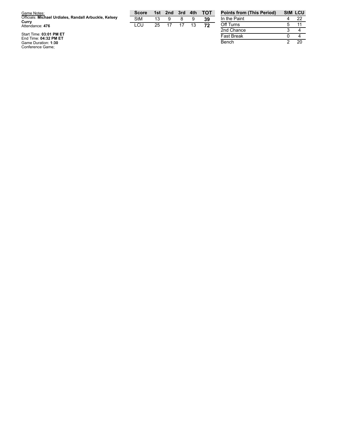| Game Notes:                                                    | <b>Score</b> | 1st | 2nd |    |    | 3rd 4th TOT | <b>Points fron</b> |
|----------------------------------------------------------------|--------------|-----|-----|----|----|-------------|--------------------|
| Officials: Michael Urdiales, Randall Arbuckle, Kelsey<br>Currv | <b>StM</b>   |     |     |    |    | 39          | In the Paint       |
| Attendance: 476                                                | LCU          | 25  |     | 17 | 13 | 72          | Off Turns          |
|                                                                |              |     |     |    |    |             | 2nd Chance         |
| Start Time: 03:01 PM ET                                        |              |     |     |    |    |             | East Desale        |

**Points from (This Period) StM LCU** 4 22 5 1 1 2nd Chance 3  $\overline{4}$ Fast Break  $\frac{0}{2}$ 4 Bench  $20$ 

Start Time: 03:01 PM ET<br>End Time: 04:32 PM ET<br>Game Duration: 1:30<br>Conference Game;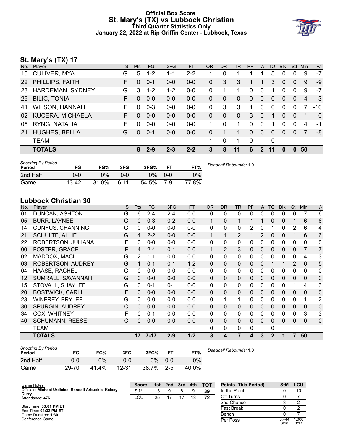# **Official Box Score St. Mary's (TX) vs Lubbock Christian Third Quarter Statistics Only January 22, 2022 at Rip Griffin Center - Lubbock, Texas**



# **St. Mary's (TX) 17**

| No. | Player                | S. | <b>Pts</b> | FG.     | 3FG     | <b>FT</b> | <b>OR</b> | <b>DR</b>    | <b>TR</b>    | <b>PF</b>   | A              | TO | <b>Blk</b> | <b>Stl</b>   | Min | $+/-$        |
|-----|-----------------------|----|------------|---------|---------|-----------|-----------|--------------|--------------|-------------|----------------|----|------------|--------------|-----|--------------|
| 10  | <b>CULIVER, MYA</b>   | G  | 5          | $1 - 2$ | $1 - 1$ | $2 - 2$   |           | 0            |              |             |                | 5  | 0          | $\Omega$     | 9   | $-7$         |
|     | 22 PHILLIPS, FAITH    | F  | $\Omega$   | $0 - 1$ | $0-0$   | $0-0$     | 0         | 3            | 3            |             |                | 3  | 0          | $\Omega$     | 9   | $-9$         |
| 23  | HARDEMAN, SYDNEY      | G  | 3          | $1 - 2$ | $1 - 2$ | $0-0$     | 0         |              | 1            | 0           | $\mathbf{0}$   |    | 0          | $\mathbf{0}$ | 9   | -7           |
| 25  | <b>BILIC, TONIA</b>   | F. | $\Omega$   | $0 - 0$ | $0 - 0$ | $0 - 0$   | 0         | $\Omega$     | $\Omega$     | $\Omega$    | $\overline{0}$ | 0  | 0          | $\Omega$     | 4   | $-3$         |
| 41  | <b>WILSON, HANNAH</b> | F. | $\Omega$   | $0 - 3$ | $0-0$   | $0 - 0$   | 0         | 3            | 3            | 1           | $\mathbf 0$    | 0  | 0          | $\Omega$     | 7   | $-10$        |
|     | 02 KUCERA, MICHAELA   | F. | $\Omega$   | $0 - 0$ | $0-0$   | $0-0$     | 0         | $\mathbf{0}$ | $\mathbf{0}$ | 3           | $\overline{0}$ | 1  | 0          | $\mathbf{0}$ | 1   | $\mathbf{0}$ |
| 05  | RYNG, NATALIA         | F  | $\Omega$   | $0 - 0$ | $0-0$   | $0-0$     |           | $\Omega$     | 1            | 0           | $\Omega$       | 1  | 0          | $\Omega$     | 4   | -1           |
| 21  | <b>HUGHES, BELLA</b>  | G  | $\Omega$   | $0 - 1$ | $0-0$   | $0 - 0$   | 0         |              | 1            | 0           | $\mathbf{0}$   | 0  | $\Omega$   | $\Omega$     | 7   | -8           |
|     | <b>TEAM</b>           |    |            |         |         |           | 1         | 0            | 1            | $\mathbf 0$ |                | 0  |            |              |     |              |
|     | <b>TOTALS</b>         |    | 8          | $2 - 9$ | $2 - 3$ | $2 - 2$   | 3         | 8            | 11           | 6           | $2^{\circ}$    | 11 | 0          | $\bf{0}$     | 50  |              |
|     |                       |    |            |         |         |           |           |              |              |             |                |    |            |              |     |              |

| <b>Shooting By Period</b><br>Period | FG    | FG%   | 3FG      | 3FG%  | FT.     | FT%   | Deadball Rebounds: 1,0 |
|-------------------------------------|-------|-------|----------|-------|---------|-------|------------------------|
| 2nd Half                            | 0-0   | 0%    | 0-0      | 0%    | $0 - 0$ | 0%    |                        |
| Game                                | 13-42 | 31.0% | $6 - 11$ | 54.5% | 7-9     | 77.8% |                        |

# **Lubbock Christian 30**

| No. | Player                   | S | Pts      | FG       | 3FG     | <b>FT</b> | <b>OR</b> | <b>DR</b>    | <b>TR</b>    | PF             | A | T <sub>O</sub> | <b>Blk</b> | Stl | Min            | $+/-$          |
|-----|--------------------------|---|----------|----------|---------|-----------|-----------|--------------|--------------|----------------|---|----------------|------------|-----|----------------|----------------|
| 01  | DUNCAN, ASHTON           | G | 6        | $2 - 4$  | $2 - 4$ | $0-0$     | 0         | $\mathbf{0}$ | 0            | 0              | 0 | 0              | 0          | 0   | 7              | 6              |
| 05  | <b>BURR, LAYNEE</b>      | G | $\Omega$ | $0 - 3$  | $0 - 2$ | $0-0$     | 1         | $\mathbf{0}$ | $\mathbf{1}$ | 1              |   | 0              | 0          | 1   | 6              | 6              |
| 14  | <b>CUNYUS, CHANNING</b>  | G | 0        | $0 - 0$  | $0 - 0$ | $0-0$     | 0         | 0            | 0            | $\overline{2}$ | 0 |                | 0          | 2   | 6              | 4              |
| 21  | <b>SCHULTE, ALLIE</b>    | G | 4        | $2 - 2$  | $0 - 0$ | $0-0$     | 1         | 1            | 2            |                | 2 | 0              | 0          |     | 6              | 6              |
| 22  | ROBERTSON, JULIANA       | F | 0        | $0 - 0$  | $0 - 0$ | $0-0$     | 0         | $\mathbf{0}$ | 0            | 0              | 0 | 0              | 0          | 0   | 0              | $\mathbf{0}$   |
| 00  | FOSTER, GRACE            | F | 4        | $2 - 4$  | $0 - 1$ | $0-0$     | 1         | 2            | 3            | 0              | 0 | 0              | 0          | 0   | $\overline{7}$ | $\overline{7}$ |
| 02  | MADDOX, MACI             | G | 2        | $1 - 1$  | $0 - 0$ | $0 - 0$   | 0         | $\mathbf{0}$ | $\mathbf{0}$ | 0              | 0 | 0              | 0          | 0   | 4              | 3              |
| 03  | <b>ROBERTSON, AUDREY</b> | G |          | $0 - 1$  | $0 - 1$ | $1 - 2$   | 0         | $\Omega$     | $\Omega$     | 0              | 0 |                |            | 2   | 6              | 5              |
| 04  | HAASE, RACHEL            | G | 0        | $0 - 0$  | $0 - 0$ | $0-0$     | 0         | $\mathbf{0}$ | 0            | 0              | 0 | 0              | 0          | 0   | 0              | $\mathbf{0}$   |
| 12  | SUMRALL, SAVANNAH        | G | 0        | $0 - 0$  | $0 - 0$ | $0 - 0$   | 0         | $\Omega$     | $\Omega$     | 0              | 0 | 0              | 0          | 0   | 0              | $\Omega$       |
| 15  | STOVALL, SHAYLEE         | G | 0        | $0 - 1$  | $0 - 1$ | $0-0$     | 0         | $\mathbf{0}$ | 0            | 0              | 0 | 0              | 0          | 1   | 4              | 3              |
| 20  | <b>BOSTWICK, CARLI</b>   | F | $\Omega$ | $0 - 0$  | $0 - 0$ | $0 - 0$   | 0         | $\Omega$     | $\Omega$     | $\Omega$       | 0 | 0              | 0          | 0   | $\Omega$       | $\Omega$       |
| 23  | <b>WINFREY, BRYLEE</b>   | G | 0        | $0 - 0$  | $0 - 0$ | $0-0$     | 0         | 1            | 1            | 0              | 0 | 0              | 0          | 0   | 1              | 2              |
| 30  | <b>SPURGIN, AUDREY</b>   | C | $\Omega$ | $0 - 0$  | $0 - 0$ | $0 - 0$   | 0         | $\Omega$     | $\Omega$     | 0              | 0 | $\Omega$       | 0          | 0   | 0              | 0              |
| 34  | COX, WHITNEY             | F | 0        | $0 - 1$  | $0 - 0$ | $0-0$     | 0         | 0            | 0            | 0              | 0 | 0              | 0          | 0   | 3              | 3              |
| 40  | <b>SCHUMANN, REESE</b>   | C | $\Omega$ | $0 - 0$  | $0 - 0$ | $0 - 0$   | 0         | $\Omega$     | $\Omega$     | $\Omega$       | 0 | $\Omega$       | 0          | 0   | 0              | $\Omega$       |
|     | TEAM                     |   |          |          |         |           | 0         | $\mathbf{0}$ | 0            | $\Omega$       |   | 0              |            |     |                |                |
|     | <b>TOTALS</b>            |   | 17       | $7 - 17$ | $2 - 9$ | $1 - 2$   | 3         | 4            | 7            | 4              | 3 | $\mathbf{2}$   |            | 7   | 50             |                |

| <b>Shooting By Period</b><br>Period | FG    | FG%   | 3FG   | 3FG%  |         | FT%   |
|-------------------------------------|-------|-------|-------|-------|---------|-------|
| 2nd Half                            | 0-0   | 2%    | ი-ი   | 0%    | $0 - 0$ | 0%    |
| Game                                | 29-70 | 41.4% | 12-31 | 38.7% | $2 - 5$ | 40.0% |

*Deadball Rebounds:* 1,0

| Game Notes:                                           | <b>Score</b> | 1st | 2nd | 3rd | 4th | <b>TOT</b> | <b>Points (This Period)</b> | <b>StM</b>    | LCU           |
|-------------------------------------------------------|--------------|-----|-----|-----|-----|------------|-----------------------------|---------------|---------------|
| Officials: Michael Urdiales, Randall Arbuckle, Kelsey | <b>StM</b>   | 13  |     |     |     | 39         | In the Paint                |               | 10            |
| Curry<br>Attendance: 476                              | LCU          | 25  |     |     |     | 72         | Off Turns                   |               |               |
|                                                       |              |     |     |     |     |            | 2nd Chance                  |               |               |
| Start Time: 03:01 PM ET<br>End Time: 04:32 PM ET      |              |     |     |     |     |            | Fast Break                  |               |               |
| Game Duration: 1:30                                   |              |     |     |     |     |            | Bench                       |               |               |
| Conference Game:                                      |              |     |     |     |     |            | Per Poss                    | 0.444<br>3/18 | 1.000<br>8/17 |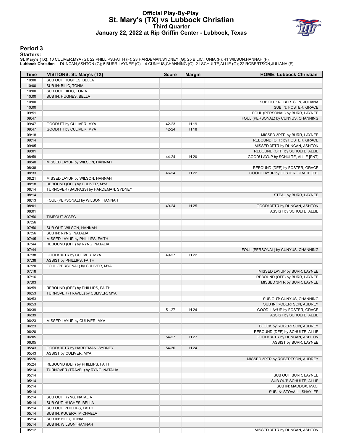# **Official Play-By-Play St. Mary's (TX) vs Lubbock Christian Third Quarter January 22, 2022 at Rip Griffin Center - Lubbock, Texas**



#### **Period 3**

#### **Starters:**

**St. Mary's (TX)**: 10 CULIVER,MYA (G); 22 PHILLIPS,FAITH (F); 23 HARDEMAN,SYDNEY (G); 25 BILIC,TONIA (F); 41 WILSON,HANNAH (F);<br>**Lubbock Christian**: 1 DUNCAN,ASHTON (G); 5 BURR,LAYNEE (G); 14 CUNYUS,CHANNING (G); 21 SCHULT

| Time           | <b>VISITORS: St. Mary's (TX)</b>       | <b>Score</b> | <b>Margin</b> | <b>HOME: Lubbock Christian</b>      |
|----------------|----------------------------------------|--------------|---------------|-------------------------------------|
| 10:00          | SUB OUT: HUGHES, BELLA                 |              |               |                                     |
| 10:00          | SUB IN: BILIC, TONIA                   |              |               |                                     |
| 10:00          | SUB OUT: BILIC, TONIA                  |              |               |                                     |
| 10:00          | SUB IN: HUGHES, BELLA                  |              |               |                                     |
| 10:00          |                                        |              |               | SUB OUT: ROBERTSON, JULIANA         |
| 10:00          |                                        |              |               | SUB IN: FOSTER, GRACE               |
| 09:51          |                                        |              |               | FOUL (PERSONAL) by BURR, LAYNEE     |
| 09:47          |                                        |              |               | FOUL (PERSONAL) by CUNYUS, CHANNING |
| 09:47          | GOOD! FT by CULIVER, MYA               | 42-23        | H 19          |                                     |
| 09:47          | GOOD! FT by CULIVER, MYA               | 42-24        | H 18          |                                     |
| 09:18          |                                        |              |               | MISSED 3PTR by BURR, LAYNEE         |
| 09:14          |                                        |              |               | REBOUND (OFF) by FOSTER, GRACE      |
| 09:05          |                                        |              |               | MISSED 3PTR by DUNCAN, ASHTON       |
| 09:01          |                                        |              |               | REBOUND (OFF) by SCHULTE, ALLIE     |
| 08:59          |                                        | 44-24        | H 20          | GOOD! LAYUP by SCHULTE, ALLIE [PNT] |
| 08:40          | MISSED LAYUP by WILSON, HANNAH         |              |               |                                     |
| 08:38          |                                        |              |               | REBOUND (DEF) by FOSTER, GRACE      |
| 08:33<br>08:21 | MISSED LAYUP by WILSON, HANNAH         | 46-24        | H 22          | GOOD! LAYUP by FOSTER, GRACE [FB]   |
| 08:18          | REBOUND (OFF) by CULIVER, MYA          |              |               |                                     |
| 08:14          | TURNOVER (BADPASS) by HARDEMAN, SYDNEY |              |               |                                     |
| 08:14          |                                        |              |               | STEAL by BURR, LAYNEE               |
| 08:13          | FOUL (PERSONAL) by WILSON, HANNAH      |              |               |                                     |
| 08:01          |                                        | 49-24        | H 25          | GOOD! 3PTR by DUNCAN, ASHTON        |
| 08:01          |                                        |              |               | ASSIST by SCHULTE, ALLIE            |
| 07:56          | TIMEOUT 30SEC                          |              |               |                                     |
| 07:56          |                                        |              |               |                                     |
| 07:56          | SUB OUT: WILSON, HANNAH                |              |               |                                     |
| 07:56          | SUB IN: RYNG, NATALIA                  |              |               |                                     |
| 07:45          | MISSED LAYUP by PHILLIPS, FAITH        |              |               |                                     |
| 07:44          | REBOUND (OFF) by RYNG, NATALIA         |              |               |                                     |
| 07:44          |                                        |              |               | FOUL (PERSONAL) by CUNYUS, CHANNING |
| 07:38          | GOOD! 3PTR by CULIVER, MYA             | 49-27        | H 22          |                                     |
| 07:38          | ASSIST by PHILLIPS, FAITH              |              |               |                                     |
| 07:20          | FOUL (PERSONAL) by CULIVER, MYA        |              |               |                                     |
| 07:18          |                                        |              |               | MISSED LAYUP by BURR, LAYNEE        |
| 07:16          |                                        |              |               | REBOUND (OFF) by BURR, LAYNEE       |
| 07:03          |                                        |              |               | MISSED 3PTR by BURR, LAYNEE         |
| 06:59          | REBOUND (DEF) by PHILLIPS, FAITH       |              |               |                                     |
| 06:53          | TURNOVER (TRAVEL) by CULIVER, MYA      |              |               |                                     |
| 06:53          |                                        |              |               | SUB OUT: CUNYUS, CHANNING           |
| 06:53          |                                        |              |               | SUB IN: ROBERTSON, AUDREY           |
| 06:39          |                                        | 51-27        | H 24          | GOOD! LAYUP by FOSTER, GRACE        |
| 06:39<br>06:23 |                                        |              |               | ASSIST by SCHULTE, ALLIE            |
| 06:23          | MISSED LAYUP by CULIVER, MYA           |              |               | BLOCK by ROBERTSON, AUDREY          |
| 06:20          |                                        |              |               | REBOUND (DEF) by SCHULTE, ALLIE     |
| 06:05          |                                        | 54-27        | H 27          | GOOD! 3PTR by DUNCAN, ASHTON        |
| 06:05          |                                        |              |               | ASSIST by BURR, LAYNEE              |
| 05:43          | GOOD! 3PTR by HARDEMAN, SYDNEY         | 54-30        | H 24          |                                     |
| 05:43          | ASSIST by CULIVER, MYA                 |              |               |                                     |
| 05:26          |                                        |              |               | MISSED 3PTR by ROBERTSON, AUDREY    |
| 05:24          | REBOUND (DEF) by PHILLIPS, FAITH       |              |               |                                     |
| 05:14          | TURNOVER (TRAVEL) by RYNG, NATALIA     |              |               |                                     |
| 05:14          |                                        |              |               | SUB OUT: BURR, LAYNEE               |
| 05:14          |                                        |              |               | SUB OUT: SCHULTE, ALLIE             |
| 05:14          |                                        |              |               | SUB IN: MADDOX, MACI                |
| 05:14          |                                        |              |               | SUB IN: STOVALL, SHAYLEE            |
| 05:14          | SUB OUT: RYNG, NATALIA                 |              |               |                                     |
| 05:14          | SUB OUT: HUGHES, BELLA                 |              |               |                                     |
| 05:14          | SUB OUT: PHILLIPS, FAITH               |              |               |                                     |
| 05:14          | SUB IN: KUCERA, MICHAELA               |              |               |                                     |
| 05:14          | SUB IN: BILIC, TONIA                   |              |               |                                     |
| 05:14          | SUB IN: WILSON, HANNAH                 |              |               |                                     |
| 05:12          |                                        |              |               | MISSED 3PTR by DUNCAN, ASHTON       |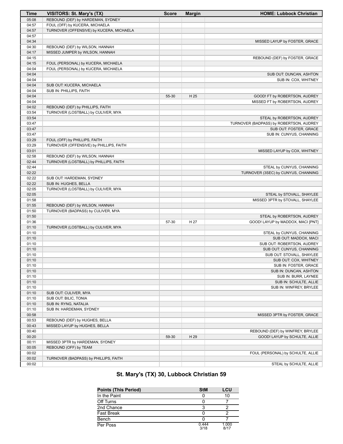| <b>Time</b>    | VISITORS: St. Mary's (TX)                | <b>Score</b> | <b>Margin</b> | <b>HOME: Lubbock Christian</b>          |
|----------------|------------------------------------------|--------------|---------------|-----------------------------------------|
| 05:08          | REBOUND (DEF) by HARDEMAN, SYDNEY        |              |               |                                         |
| 04:57          | FOUL (OFF) by KUCERA, MICHAELA           |              |               |                                         |
| 04:57          | TURNOVER (OFFENSIVE) by KUCERA, MICHAELA |              |               |                                         |
| 04:57          |                                          |              |               |                                         |
| 04:34          |                                          |              |               | MISSED LAYUP by FOSTER, GRACE           |
| 04:30          | REBOUND (DEF) by WILSON, HANNAH          |              |               |                                         |
| 04:17          | MISSED JUMPER by WILSON, HANNAH          |              |               |                                         |
| 04:15          |                                          |              |               | REBOUND (DEF) by FOSTER, GRACE          |
| 04:15          | FOUL (PERSONAL) by KUCERA, MICHAELA      |              |               |                                         |
| 04:04          | FOUL (PERSONAL) by KUCERA, MICHAELA      |              |               |                                         |
| 04:04          |                                          |              |               | SUB OUT: DUNCAN, ASHTON                 |
| 04:04          |                                          |              |               | SUB IN: COX, WHITNEY                    |
| 04:04          | SUB OUT: KUCERA, MICHAELA                |              |               |                                         |
| 04:04          | SUB IN: PHILLIPS, FAITH                  |              |               |                                         |
| 04:04          |                                          | 55-30        | H 25          | GOOD! FT by ROBERTSON, AUDREY           |
| 04:04          |                                          |              |               | MISSED FT by ROBERTSON, AUDREY          |
| 04:02          | REBOUND (DEF) by PHILLIPS, FAITH         |              |               |                                         |
| 03:54          | TURNOVER (LOSTBALL) by CULIVER, MYA      |              |               |                                         |
| 03:54          |                                          |              |               | STEAL by ROBERTSON, AUDREY              |
| 03:47          |                                          |              |               | TURNOVER (BADPASS) by ROBERTSON, AUDREY |
| 03:47          |                                          |              |               | SUB OUT: FOSTER, GRACE                  |
| 03:47          |                                          |              |               | SUB IN: CUNYUS, CHANNING                |
| 03:29          | FOUL (OFF) by PHILLIPS, FAITH            |              |               |                                         |
| 03:29          | TURNOVER (OFFENSIVE) by PHILLIPS, FAITH  |              |               |                                         |
| 03:01          |                                          |              |               | MISSED LAYUP by COX, WHITNEY            |
| 02:58          | REBOUND (DEF) by WILSON, HANNAH          |              |               |                                         |
| 02:44          | TURNOVER (LOSTBALL) by PHILLIPS, FAITH   |              |               |                                         |
| 02:44          |                                          |              |               | STEAL by CUNYUS, CHANNING               |
| 02:22          |                                          |              |               | TURNOVER (3SEC) by CUNYUS, CHANNING     |
| 02:22          | SUB OUT: HARDEMAN, SYDNEY                |              |               |                                         |
| 02:22          | SUB IN: HUGHES, BELLA                    |              |               |                                         |
| 02:05<br>02:05 | TURNOVER (LOSTBALL) by CULIVER, MYA      |              |               |                                         |
| 01:58          |                                          |              |               | STEAL by STOVALL, SHAYLEE               |
| 01:55          | REBOUND (DEF) by WILSON, HANNAH          |              |               | MISSED 3PTR by STOVALL, SHAYLEE         |
| 01:50          | TURNOVER (BADPASS) by CULIVER, MYA       |              |               |                                         |
| 01:50          |                                          |              |               | STEAL by ROBERTSON, AUDREY              |
| 01:36          |                                          | 57-30        | H 27          | GOOD! LAYUP by MADDOX, MACI [PNT]       |
| 01:10          | TURNOVER (LOSTBALL) by CULIVER, MYA      |              |               |                                         |
| 01:10          |                                          |              |               | STEAL by CUNYUS, CHANNING               |
| 01:10          |                                          |              |               | SUB OUT: MADDOX, MACI                   |
| 01:10          |                                          |              |               | SUB OUT: ROBERTSON, AUDREY              |
| 01:10          |                                          |              |               | SUB OUT: CUNYUS, CHANNING               |
| 01:10          |                                          |              |               | SUB OUT: STOVALL, SHAYLEE               |
| 01:10          |                                          |              |               | SUB OUT: COX, WHITNEY                   |
| 01:10          |                                          |              |               | SUB IN: FOSTER, GRACE                   |
| 01:10          |                                          |              |               | SUB IN: DUNCAN, ASHTON                  |
| 01:10          |                                          |              |               | SUB IN: BURR, LAYNEE                    |
| 01:10          |                                          |              |               | SUB IN: SCHULTE, ALLIE                  |
| 01:10          |                                          |              |               | SUB IN: WINFREY, BRYLEE                 |
| 01:10          | SUB OUT: CULIVER, MYA                    |              |               |                                         |
| 01:10          | SUB OUT: BILIC, TONIA                    |              |               |                                         |
| 01:10          | SUB IN: RYNG, NATALIA                    |              |               |                                         |
| 01:10          | SUB IN: HARDEMAN, SYDNEY                 |              |               |                                         |
| 00:58          |                                          |              |               | MISSED 3PTR by FOSTER, GRACE            |
| 00:53          | REBOUND (DEF) by HUGHES, BELLA           |              |               |                                         |
| 00:43          | MISSED LAYUP by HUGHES, BELLA            |              |               |                                         |
| 00:40          |                                          |              |               | REBOUND (DEF) by WINFREY, BRYLEE        |
| 00:20          |                                          | 59-30        | H 29          | GOOD! LAYUP by SCHULTE, ALLIE           |
| 00:11          | MISSED 3PTR by HARDEMAN, SYDNEY          |              |               |                                         |
| 00:05          | REBOUND (OFF) by TEAM                    |              |               |                                         |
| 00:02          |                                          |              |               | FOUL (PERSONAL) by SCHULTE, ALLIE       |
| 00:02          | TURNOVER (BADPASS) by PHILLIPS, FAITH    |              |               |                                         |
| 00:02          |                                          |              |               | STEAL by SCHULTE, ALLIE                 |

# **St. Mary's (TX) 30, Lubbock Christian 59**

| <b>Points (This Period)</b> | <b>StM</b>    | LCU           |
|-----------------------------|---------------|---------------|
| In the Paint                |               | 10            |
| Off Turns                   |               |               |
| 2nd Chance                  |               |               |
| <b>Fast Break</b>           |               |               |
| Bench                       |               |               |
| Per Poss                    | 0.444<br>3/18 | 1.000<br>R/17 |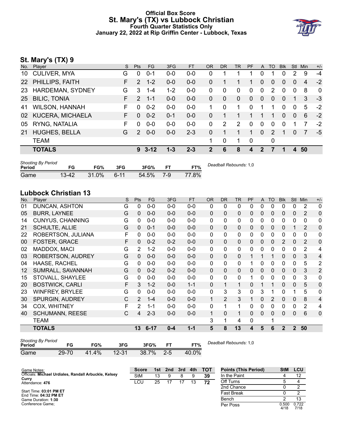# **Official Box Score St. Mary's (TX) vs Lubbock Christian Fourth Quarter Statistics Only January 22, 2022 at Rip Griffin Center - Lubbock, Texas**



# **St. Mary's (TX) 9**

| No.       | Player                  | S  | <b>Pts</b>    | FG.      | 3FG     | <b>FT</b> | <b>OR</b>    | <b>DR</b>              | <b>TR</b> | <b>PF</b> | $\mathsf{A}$ | TO       | <b>Blk</b> | <b>Stl</b>     | Min | $+/-$       |
|-----------|-------------------------|----|---------------|----------|---------|-----------|--------------|------------------------|-----------|-----------|--------------|----------|------------|----------------|-----|-------------|
| 10        | <b>CULIVER, MYA</b>     | G  | $\Omega$      | $0 - 1$  | 0-0     | 0-0       | 0            | 1                      |           |           | 0            |          | 0          | 2              | 9   | $-4$        |
| <b>22</b> | PHILLIPS, FAITH         | F. | 2             | $1 - 2$  | $0 - 0$ | $0-0$     | 0            |                        |           |           | $\Omega$     | 0        | 0          | 0              | 4   | $-2$        |
| 23        | HARDEMAN, SYDNEY        | G  | 3             | $1 - 4$  | $1 - 2$ | $0 - 0$   | 0            | 0                      | 0         | 0         | 0            | 2        | 0          | $\mathbf 0$    | 8   | $\mathbf 0$ |
| 25        | <b>BILIC, TONIA</b>     | F. | $\mathcal{P}$ | $1 - 1$  | $0 - 0$ | $0 - 0$   | 0            | $\Omega$               | $\Omega$  | $\Omega$  | $\mathbf{0}$ | $\Omega$ | 0          |                | 3   | $-3$        |
| 41        | <b>WILSON, HANNAH</b>   | F. | $\Omega$      | $0 - 2$  | $0 - 0$ | $0-0$     |              | $\Omega$               | 1         | 0         | 1            |          | 0          | $\Omega$       | 5   | $-2$        |
| 02        | <b>KUCERA, MICHAELA</b> | F. | $\Omega$      | $0 - 2$  | $0 - 1$ | $0 - 0$   | 0            | 1                      |           |           |              | 1        | 0          | $\Omega$       | 6   | $-2$        |
| 05        | RYNG, NATALIA           | F. | $\Omega$      | $0-0$    | $0-0$   | $0-0$     | 0            | 2                      | 2         | 0         | 0            | 0        | 0          |                | 7   | $-2$        |
| 21        | <b>HUGHES, BELLA</b>    | G  | $\mathcal{P}$ | $0 - 0$  | $0-0$   | $2 - 3$   | 0            | 1                      | 1         | 1         | $\mathbf 0$  | 2        | 1          | 0              | 7   | $-5$        |
|           | <b>TEAM</b>             |    |               |          |         |           | 1            | 0                      | 1         | 0         |              | 0        |            |                |     |             |
|           | <b>TOTALS</b>           |    | 9             | $3 - 12$ | $1 - 3$ | $2 - 3$   | $\mathbf{2}$ | 6                      | 8         | 4         | $\mathbf{2}$ | 7        | 1          | $\overline{4}$ | 50  |             |
|           | Shooting By Period      |    |               |          |         |           |              | Deadhall Rehounds: 1 0 |           |           |              |          |            |                |     |             |

| Period |           | FG%      | 3FG    | 3FG%      | FT%   | Deadball Rebounds: 1,0 |
|--------|-----------|----------|--------|-----------|-------|------------------------|
| Game   | $13 - 42$ | $31.0\%$ | $6-11$ | 54.5% 7-9 | 77.8% |                        |

# **Lubbock Christian 13**

| No. | Player                  | S | Pts           | FG.      | 3FG     | <b>FT</b> | <b>OR</b> | <b>DR</b>      | <b>TR</b>    | PF | A            | <b>TO</b> | <b>Blk</b>  | <b>Stl</b>   | Min          | $+/-$          |
|-----|-------------------------|---|---------------|----------|---------|-----------|-----------|----------------|--------------|----|--------------|-----------|-------------|--------------|--------------|----------------|
| 01  | DUNCAN, ASHTON          | G | 0             | $0 - 0$  | $0 - 0$ | $0-0$     | 0         | 0              | $\mathbf{0}$ | 0  | 0            | 0         | 0           | 0            | 2            | $\mathbf 0$    |
| 05  | <b>BURR, LAYNEE</b>     | G | 0             | $0 - 0$  | $0 - 0$ | $0-0$     | $\Omega$  | 0              | $\mathbf{0}$ | 0  | $\mathbf{0}$ | $\Omega$  | 0           | $\mathbf{0}$ | 2            | $\mathbf 0$    |
| 14  | <b>CUNYUS, CHANNING</b> | G | 0             | $0 - 0$  | $0 - 0$ | $0-0$     | 0         | 0              | $\mathbf{0}$ | 0  | 0            | 0         | 0           | 0            | 0            | 0              |
| 21  | <b>SCHULTE, ALLIE</b>   | G | 0             | $0 - 1$  | $0 - 0$ | $0-0$     | $\Omega$  | 0              | $\Omega$     | 0  | $\mathbf{0}$ | $\Omega$  | 0           |              | 2            | 0              |
| 22  | ROBERTSON, JULIANA      | F | 0             | $0 - 0$  | $0 - 0$ | $0-0$     | 0         | 0              | 0            | 0  | 0            | $\Omega$  | 0           | $\mathbf{0}$ | $\mathbf{0}$ | 0              |
| 00  | FOSTER, GRACE           | F | 0             | $0 - 2$  | $0 - 2$ | $0-0$     | $\Omega$  | 0              | $\Omega$     | 0  | 0            | 0         | 2           | $\mathbf{0}$ | 2            | 0              |
| 02  | MADDOX, MACI            | G | 2             | $1 - 2$  | $0 - 0$ | $0-0$     | 0         | 0              | $\mathbf{0}$ | 0  | 0            | 0         | 0           | $\mathbf{0}$ | 2            | 4              |
| 03  | ROBERTSON, AUDREY       | G | 0             | $0 - 0$  | $0 - 0$ | $0 - 0$   | 0         | 0              | $\mathbf{0}$ |    |              |           | $\Omega$    | 0            | 3            | 4              |
| 04  | HAASE, RACHEL           | G | 0             | $0 - 0$  | $0 - 0$ | $0 - 0$   | 0         | $\mathbf{0}$   | $\mathbf{0}$ |    | 0            | $\Omega$  | 0           | $\mathbf{0}$ | 5            | $\overline{2}$ |
| 12  | SUMRALL, SAVANNAH       | G | 0             | $0 - 2$  | $0 - 2$ | $0 - 0$   | $\Omega$  | 0              | $\Omega$     | 0  | 0            | 0         | $\Omega$    | $\mathbf{0}$ | 3            | $\overline{2}$ |
| 15  | STOVALL, SHAYLEE        | G | 0             | $0 - 0$  | $0 - 0$ | $0-0$     | 0         | 0              | $\mathbf{0}$ |    | 0            | $\Omega$  | 0           | $\Omega$     | 3            | $\mathbf{0}$   |
| 20  | <b>BOSTWICK, CARLI</b>  | F | 3             | $1 - 2$  | $0 - 0$ | $1 - 1$   | 0         | 1              | 1            | 0  |              | 1         | 0           | $\Omega$     | 5            | $\overline{0}$ |
| 23  | <b>WINFREY, BRYLEE</b>  | G | 0             | $0 - 0$  | $0 - 0$ | $0 - 0$   | 0         | 3              | 3            | 0  | 3            | 1         | 0           |              | 5            | 0              |
| 30  | SPURGIN, AUDREY         | C | $\mathcal{P}$ | $1 - 4$  | $0 - 0$ | $0 - 0$   | 1         | $\overline{2}$ | 3            | 1  | 0            | 2         | $\Omega$    | $\Omega$     | 8            | 4              |
| 34  | <b>COX, WHITNEY</b>     | F | 2             | 1-1      | $0 - 0$ | $0 - 0$   | 0         | 1              | 1            | 0  | 0            | $\Omega$  | 0           | $\Omega$     | 2            | 4              |
| 40  | <b>SCHUMANN, REESE</b>  | C | 4             | $2 - 3$  | $0 - 0$ | $0-0$     | 1         | 0              | $\mathbf{1}$ | 0  | $\Omega$     | $\Omega$  | $\Omega$    | $\Omega$     | 6            | $\Omega$       |
|     | TEAM                    |   |               |          |         |           | 3         | 1              | 4            | 0  |              | 1         |             |              |              |                |
|     | <b>TOTALS</b>           |   | 13            | $6 - 17$ | $0 - 4$ | $1 - 1$   | 5         | 8              | 13           | 4  | 5            | 6         | $\mathbf 2$ | $\mathbf{2}$ | 50           |                |

| <b>Shooting By Period</b><br>Period | FG    | FG%   | 3FG       | 3FG%  |         | FT%   |
|-------------------------------------|-------|-------|-----------|-------|---------|-------|
| Game                                | 29-70 | 41.4% | $12 - 31$ | 38.7% | $2 - 5$ | 40.0% |

*Deadball Rebounds:* 1,0

| Game Notes:                                                    | <b>Score</b> |    | 1st 2nd | 3rd | 4th | тот | <b>Points (This Period)</b> | <b>StM</b>    | LCU           |
|----------------------------------------------------------------|--------------|----|---------|-----|-----|-----|-----------------------------|---------------|---------------|
| Officials: Michael Urdiales, Randall Arbuckle, Kelsey<br>Curry | <b>StM</b>   | 13 |         |     |     | 39  | In the Paint                |               | 12            |
| Attendance: 476                                                | LCU          | 25 |         |     | 13  | 72  | Off Turns                   |               |               |
|                                                                |              |    |         |     |     |     | 2nd Chance                  |               |               |
| Start Time: 03:01 PM ET<br>End Time: 04:32 PM ET               |              |    |         |     |     |     | <b>Fast Break</b>           |               |               |
| Game Duration: 1:30                                            |              |    |         |     |     |     | Bench                       |               | 13            |
| Conference Game:                                               |              |    |         |     |     |     | Per Poss                    | 0.500<br>4/18 | 0.722<br>7/18 |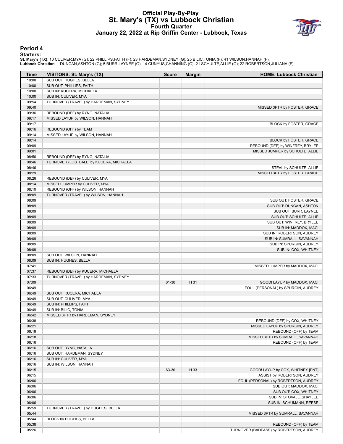# **Official Play-By-Play St. Mary's (TX) vs Lubbock Christian Fourth Quarter January 22, 2022 at Rip Griffin Center - Lubbock, Texas**



#### **Period 4**

#### **Starters:**

**St. Mary's (TX)**: 10 CULIVER,MYA (G); 22 PHILLIPS,FAITH (F); 23 HARDEMAN,SYDNEY (G); 25 BILIC,TONIA (F); 41 WILSON,HANNAH (F);<br>**Lubbock Christian**: 1 DUNCAN,ASHTON (G); 5 BURR,LAYNEE (G); 14 CUNYUS,CHANNING (G); 21 SCHULT

| Time           | VISITORS: St. Mary's (TX)               | <b>Score</b> | <b>Margin</b> | <b>HOME: Lubbock Christian</b>                    |
|----------------|-----------------------------------------|--------------|---------------|---------------------------------------------------|
| 10:00          | SUB OUT: HUGHES, BELLA                  |              |               |                                                   |
| 10:00          | SUB OUT: PHILLIPS, FAITH                |              |               |                                                   |
| 10:00          | SUB IN: KUCERA, MICHAELA                |              |               |                                                   |
| 10:00          | SUB IN: CULIVER, MYA                    |              |               |                                                   |
| 09:54          | TURNOVER (TRAVEL) by HARDEMAN, SYDNEY   |              |               |                                                   |
| 09:40          |                                         |              |               | MISSED 3PTR by FOSTER, GRACE                      |
| 09:36          | REBOUND (DEF) by RYNG, NATALIA          |              |               |                                                   |
| 09:17          | MISSED LAYUP by WILSON, HANNAH          |              |               |                                                   |
| 09:17          |                                         |              |               | BLOCK by FOSTER, GRACE                            |
| 09:16          | REBOUND (OFF) by TEAM                   |              |               |                                                   |
| 09:14          | MISSED LAYUP by WILSON, HANNAH          |              |               |                                                   |
| 09:14          |                                         |              |               | <b>BLOCK by FOSTER, GRACE</b>                     |
| 09:09          |                                         |              |               | REBOUND (DEF) by WINFREY, BRYLEE                  |
| 09:01          |                                         |              |               | MISSED JUMPER by SCHULTE, ALLIE                   |
| 08:56          | REBOUND (DEF) by RYNG, NATALIA          |              |               |                                                   |
| 08:46          | TURNOVER (LOSTBALL) by KUCERA, MICHAELA |              |               |                                                   |
| 08:46          |                                         |              |               | STEAL by SCHULTE, ALLIE                           |
| 08:29          |                                         |              |               | MISSED 3PTR by FOSTER, GRACE                      |
| 08:26          | REBOUND (DEF) by CULIVER, MYA           |              |               |                                                   |
| 08:14          | MISSED JUMPER by CULIVER, MYA           |              |               |                                                   |
| 08:10          | REBOUND (OFF) by WILSON, HANNAH         |              |               |                                                   |
| 08:09          | TURNOVER (TRAVEL) by WILSON, HANNAH     |              |               |                                                   |
| 08:09          |                                         |              |               | SUB OUT: FOSTER, GRACE                            |
| 08:09          |                                         |              |               | SUB OUT: DUNCAN, ASHTON                           |
| 08:09          |                                         |              |               | SUB OUT: BURR, LAYNEE                             |
| 08:09<br>08:09 |                                         |              |               | SUB OUT: SCHULTE, ALLIE                           |
| 08:09          |                                         |              |               | SUB OUT: WINFREY, BRYLEE                          |
| 08:09          |                                         |              |               | SUB IN: MADDOX, MACI<br>SUB IN: ROBERTSON, AUDREY |
| 08:09          |                                         |              |               | SUB IN: SUMRALL, SAVANNAH                         |
| 08:09          |                                         |              |               | SUB IN: SPURGIN, AUDREY                           |
| 08:09          |                                         |              |               | SUB IN: COX, WHITNEY                              |
| 08:09          | SUB OUT: WILSON, HANNAH                 |              |               |                                                   |
| 08:09          | SUB IN: HUGHES, BELLA                   |              |               |                                                   |
| 07:41          |                                         |              |               | MISSED JUMPER by MADDOX, MACI                     |
| 07:37          | REBOUND (DEF) by KUCERA, MICHAELA       |              |               |                                                   |
| 07:33          | TURNOVER (TRAVEL) by HARDEMAN, SYDNEY   |              |               |                                                   |
| 07:09          |                                         | 61-30        | H 31          | GOOD! LAYUP by MADDOX, MACI                       |
| 06:49          |                                         |              |               | FOUL (PERSONAL) by SPURGIN, AUDREY                |
| 06:49          | SUB OUT: KUCERA, MICHAELA               |              |               |                                                   |
| 06:49          | SUB OUT: CULIVER, MYA                   |              |               |                                                   |
| 06:49          | SUB IN: PHILLIPS, FAITH                 |              |               |                                                   |
| 06:49          | SUB IN: BILIC, TONIA                    |              |               |                                                   |
| 06:42          | MISSED 3PTR by HARDEMAN, SYDNEY         |              |               |                                                   |
| 06:38          |                                         |              |               | REBOUND (DEF) by COX, WHITNEY                     |
| 06:21          |                                         |              |               | MISSED LAYUP by SPURGIN, AUDREY                   |
| 06:19          |                                         |              |               | REBOUND (OFF) by TEAM                             |
| 06:18          |                                         |              |               | MISSED 3PTR by SUMRALL, SAVANNAH                  |
| 06:16          |                                         |              |               | REBOUND (OFF) by TEAM                             |
| 06:16          | SUB OUT: RYNG, NATALIA                  |              |               |                                                   |
| 06:16          | SUB OUT: HARDEMAN, SYDNEY               |              |               |                                                   |
| 06:16          | SUB IN: CULIVER, MYA                    |              |               |                                                   |
| 06:16          | SUB IN: WILSON, HANNAH                  |              |               |                                                   |
| 06:15          |                                         | 63-30        | H 33          | GOOD! LAYUP by COX, WHITNEY [PNT]                 |
| 06:15          |                                         |              |               | ASSIST by ROBERTSON, AUDREY                       |
| 06:06          |                                         |              |               | FOUL (PERSONAL) by ROBERTSON, AUDREY              |
| 06:06          |                                         |              |               | SUB OUT: MADDOX, MACI                             |
| 06:06          |                                         |              |               | SUB OUT: COX, WHITNEY                             |
| 06:06          |                                         |              |               | SUB IN: STOVALL, SHAYLEE                          |
| 06:06          |                                         |              |               | SUB IN: SCHUMANN, REESE                           |
| 05:59          | TURNOVER (TRAVEL) by HUGHES, BELLA      |              |               |                                                   |
| 05:44          |                                         |              |               | MISSED 3PTR by SUMRALL, SAVANNAH                  |
| 05:44          | BLOCK by HUGHES, BELLA                  |              |               |                                                   |
| 05:38          |                                         |              |               | REBOUND (OFF) by TEAM                             |
| 05:26          |                                         |              |               | TURNOVER (BADPASS) by ROBERTSON, AUDREY           |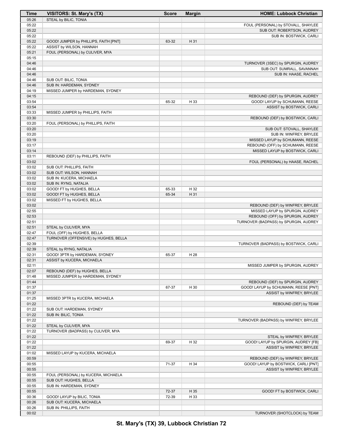| Time  | VISITORS: St. Mary's (TX)             | <b>Score</b> | <b>Margin</b> | <b>HOME: Lubbock Christian</b>        |
|-------|---------------------------------------|--------------|---------------|---------------------------------------|
| 05:26 | STEAL by BILIC, TONIA                 |              |               |                                       |
| 05:22 |                                       |              |               | FOUL (PERSONAL) by STOVALL, SHAYLEE   |
| 05:22 |                                       |              |               | SUB OUT: ROBERTSON, AUDREY            |
| 05:22 |                                       |              |               | SUB IN: BOSTWICK, CARLI               |
| 05:22 | GOOD! JUMPER by PHILLIPS, FAITH [PNT] | 63-32        | H 31          |                                       |
| 05:22 | ASSIST by WILSON, HANNAH              |              |               |                                       |
| 05:21 | FOUL (PERSONAL) by CULIVER, MYA       |              |               |                                       |
| 05:15 |                                       |              |               |                                       |
| 04:46 |                                       |              |               | TURNOVER (3SEC) by SPURGIN, AUDREY    |
| 04:46 |                                       |              |               | SUB OUT: SUMRALL, SAVANNAH            |
| 04:46 |                                       |              |               | SUB IN: HAASE, RACHEL                 |
| 04:46 | SUB OUT: BILIC, TONIA                 |              |               |                                       |
|       |                                       |              |               |                                       |
| 04:46 | SUB IN: HARDEMAN, SYDNEY              |              |               |                                       |
| 04:19 | MISSED JUMPER by HARDEMAN, SYDNEY     |              |               |                                       |
| 04:15 |                                       |              |               | REBOUND (DEF) by SPURGIN, AUDREY      |
| 03:54 |                                       | 65-32        | H 33          | GOOD! LAYUP by SCHUMANN, REESE        |
| 03:54 |                                       |              |               | ASSIST by BOSTWICK, CARLI             |
| 03:33 | MISSED JUMPER by PHILLIPS, FAITH      |              |               |                                       |
| 03:30 |                                       |              |               | REBOUND (DEF) by BOSTWICK, CARLI      |
| 03:20 | FOUL (PERSONAL) by PHILLIPS, FAITH    |              |               |                                       |
| 03:20 |                                       |              |               | SUB OUT: STOVALL, SHAYLEE             |
| 03:20 |                                       |              |               | SUB IN: WINFREY, BRYLEE               |
| 03:19 |                                       |              |               | MISSED LAYUP by SCHUMANN, REESE       |
| 03:17 |                                       |              |               | REBOUND (OFF) by SCHUMANN, REESE      |
| 03:14 |                                       |              |               | MISSED LAYUP by BOSTWICK, CARLI       |
| 03:11 | REBOUND (DEF) by PHILLIPS, FAITH      |              |               |                                       |
| 03:02 |                                       |              |               | FOUL (PERSONAL) by HAASE, RACHEL      |
| 03:02 | SUB OUT: PHILLIPS, FAITH              |              |               |                                       |
| 03:02 | SUB OUT: WILSON, HANNAH               |              |               |                                       |
| 03:02 | SUB IN: KUCERA, MICHAELA              |              |               |                                       |
|       |                                       |              |               |                                       |
| 03:02 | SUB IN: RYNG, NATALIA                 |              |               |                                       |
| 03:02 | GOOD! FT by HUGHES, BELLA             | 65-33        | H 32          |                                       |
| 03:02 | GOOD! FT by HUGHES, BELLA             | 65-34        | H 31          |                                       |
| 03:02 | MISSED FT by HUGHES, BELLA            |              |               |                                       |
| 03:02 |                                       |              |               | REBOUND (DEF) by WINFREY, BRYLEE      |
| 02:55 |                                       |              |               | MISSED LAYUP by SPURGIN, AUDREY       |
| 02:53 |                                       |              |               | REBOUND (OFF) by SPURGIN, AUDREY      |
| 02:51 |                                       |              |               | TURNOVER (BADPASS) by SPURGIN, AUDREY |
| 02:51 | STEAL by CULIVER, MYA                 |              |               |                                       |
| 02:47 | FOUL (OFF) by HUGHES, BELLA           |              |               |                                       |
| 02:47 | TURNOVER (OFFENSIVE) by HUGHES, BELLA |              |               |                                       |
| 02:39 |                                       |              |               | TURNOVER (BADPASS) by BOSTWICK, CARLI |
| 02:39 | STEAL by RYNG, NATALIA                |              |               |                                       |
| 02:31 | GOOD! 3PTR by HARDEMAN, SYDNEY        | 65-37        | H 28          |                                       |
| 02:31 | ASSIST by KUCERA, MICHAELA            |              |               |                                       |
| 02:11 |                                       |              |               | MISSED JUMPER by SPURGIN, AUDREY      |
| 02:07 | REBOUND (DEF) by HUGHES, BELLA        |              |               |                                       |
| 01:48 | MISSED JUMPER by HARDEMAN, SYDNEY     |              |               |                                       |
|       |                                       |              |               |                                       |
| 01:44 |                                       |              |               | REBOUND (DEF) by SPURGIN, AUDREY      |
| 01:37 |                                       | 67-37        | H 30          | GOOD! LAYUP by SCHUMANN, REESE [PNT]  |
| 01:37 |                                       |              |               | ASSIST by WINFREY, BRYLEE             |
| 01:25 | MISSED 3PTR by KUCERA, MICHAELA       |              |               |                                       |
| 01:22 |                                       |              |               | REBOUND (DEF) by TEAM                 |
| 01:22 | SUB OUT: HARDEMAN, SYDNEY             |              |               |                                       |
| 01:22 | SUB IN: BILIC, TONIA                  |              |               |                                       |
| 01:22 |                                       |              |               | TURNOVER (BADPASS) by WINFREY, BRYLEE |
| 01:22 | STEAL by CULIVER, MYA                 |              |               |                                       |
| 01:22 | TURNOVER (BADPASS) by CULIVER, MYA    |              |               |                                       |
| 01:22 |                                       |              |               | STEAL by WINFREY, BRYLEE              |
| 01:22 |                                       | 69-37        | H 32          | GOOD! LAYUP by SPURGIN, AUDREY [FB]   |
| 01:22 |                                       |              |               | ASSIST by WINFREY, BRYLEE             |
| 01:02 | MISSED LAYUP by KUCERA, MICHAELA      |              |               |                                       |
| 00:59 |                                       |              |               | REBOUND (DEF) by WINFREY, BRYLEE      |
| 00:55 |                                       | 71-37        | H 34          | GOOD! LAYUP by BOSTWICK, CARLI [PNT]  |
|       |                                       |              |               |                                       |
| 00:55 |                                       |              |               | ASSIST by WINFREY, BRYLEE             |
| 00:55 | FOUL (PERSONAL) by KUCERA, MICHAELA   |              |               |                                       |
| 00:55 | SUB OUT: HUGHES, BELLA                |              |               |                                       |
| 00:55 | SUB IN: HARDEMAN, SYDNEY              |              |               |                                       |
| 00:55 |                                       | 72-37        | H 35          | GOOD! FT by BOSTWICK, CARLI           |
| 00:36 | GOOD! LAYUP by BILIC, TONIA           | 72-39        | H 33          |                                       |
| 00:26 | SUB OUT: KUCERA, MICHAELA             |              |               |                                       |
| 00:26 | SUB IN: PHILLIPS, FAITH               |              |               |                                       |
| 00:02 |                                       |              |               | TURNOVER (SHOTCLOCK) by TEAM          |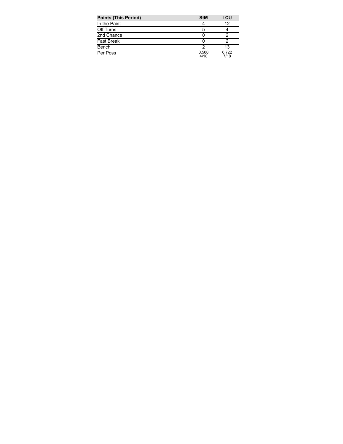| <b>Points (This Period)</b> | <b>StM</b>    | LCU           |
|-----------------------------|---------------|---------------|
| In the Paint                |               | 12            |
| Off Turns                   | 5             |               |
| 2nd Chance                  |               |               |
| <b>Fast Break</b>           |               |               |
| Bench                       |               | 13            |
| Per Poss                    | 0.500<br>4/18 | 0.722<br>7/18 |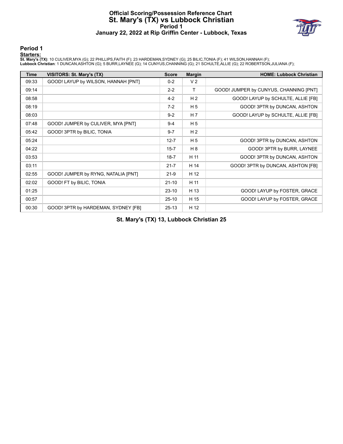## **Official Scoring/Possession Reference Chart St. Mary's (TX) vs Lubbock Christian Period 1 January 22, 2022 at Rip Griffin Center - Lubbock, Texas**



## **Period 1**

#### **Starters:**

**St. Mary's (TX)**: 10 CULIVER,MYA (G); 22 PHILLIPS,FAITH (F); 23 HARDEMAN,SYDNEY (G); 25 BILIC,TONIA (F); 41 WILSON,HANNAH (F);<br>**Lubbock Christian**: 1 DUNCAN,ASHTON (G); 5 BURR,LAYNEE (G); 14 CUNYUS,CHANNING (G); 21 SCHULT

| <b>Time</b> | VISITORS: St. Mary's (TX)           | <b>Score</b> | <b>Margin</b>  | <b>HOME: Lubbock Christian</b>         |
|-------------|-------------------------------------|--------------|----------------|----------------------------------------|
| 09:33       | GOOD! LAYUP by WILSON, HANNAH [PNT] | $0 - 2$      | V <sub>2</sub> |                                        |
| 09:14       |                                     | $2 - 2$      | T              | GOOD! JUMPER by CUNYUS, CHANNING [PNT] |
| 08:58       |                                     | $4 - 2$      | H <sub>2</sub> | GOOD! LAYUP by SCHULTE, ALLIE [FB]     |
| 08:19       |                                     | $7-2$        | H <sub>5</sub> | GOOD! 3PTR by DUNCAN, ASHTON           |
| 08:03       |                                     | $9 - 2$      | H <sub>7</sub> | GOOD! LAYUP by SCHULTE, ALLIE [FB]     |
| 07:48       | GOOD! JUMPER by CULIVER, MYA [PNT]  | $9 - 4$      | H <sub>5</sub> |                                        |
| 05:42       | GOOD! 3PTR by BILIC, TONIA          | $9 - 7$      | H <sub>2</sub> |                                        |
| 05:24       |                                     | $12 - 7$     | H <sub>5</sub> | GOOD! 3PTR by DUNCAN, ASHTON           |
| 04:22       |                                     | $15 - 7$     | H 8            | GOOD! 3PTR by BURR, LAYNEE             |
| 03:53       |                                     | $18 - 7$     | H 11           | GOOD! 3PTR by DUNCAN, ASHTON           |
| 03:11       |                                     | $21 - 7$     | H 14           | GOOD! 3PTR by DUNCAN, ASHTON [FB]      |
| 02:55       | GOOD! JUMPER by RYNG, NATALIA [PNT] | $21-9$       | H 12           |                                        |
| 02:02       | GOOD! FT by BILIC, TONIA            | $21 - 10$    | H 11           |                                        |
| 01:25       |                                     | $23-10$      | H 13           | GOOD! LAYUP by FOSTER, GRACE           |
| 00:57       |                                     | $25-10$      | H 15           | GOOD! LAYUP by FOSTER, GRACE           |
| 00:30       | GOOD! 3PTR by HARDEMAN, SYDNEY [FB] | $25 - 13$    | H 12           |                                        |

**St. Mary's (TX) 13, Lubbock Christian 25**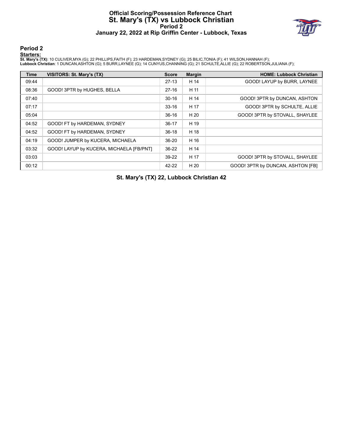## **Official Scoring/Possession Reference Chart St. Mary's (TX) vs Lubbock Christian Period 2 January 22, 2022 at Rip Griffin Center - Lubbock, Texas**



## **Period 2**

#### **Starters:**

**St. Mary's (TX)**: 10 CULIVER,MYA (G); 22 PHILLIPS,FAITH (F); 23 HARDEMAN,SYDNEY (G); 25 BILIC,TONIA (F); 41 WILSON,HANNAH (F);<br>**Lubbock Christian**: 1 DUNCAN,ASHTON (G); 5 BURR,LAYNEE (G); 14 CUNYUS,CHANNING (G); 21 SCHULT

| <b>Time</b> | VISITORS: St. Mary's (TX)                | <b>Score</b> | <b>Margin</b> | <b>HOME: Lubbock Christian</b>    |
|-------------|------------------------------------------|--------------|---------------|-----------------------------------|
| 09:44       |                                          | $27-13$      | H 14          | GOOD! LAYUP by BURR, LAYNEE       |
| 08:36       | GOOD! 3PTR by HUGHES, BELLA              | $27-16$      | H 11          |                                   |
| 07:40       |                                          | $30 - 16$    | H 14          | GOOD! 3PTR by DUNCAN, ASHTON      |
| 07:17       |                                          | $33 - 16$    | H 17          | GOOD! 3PTR by SCHULTE, ALLIE      |
| 05:04       |                                          | $36-16$      | H 20          | GOOD! 3PTR by STOVALL, SHAYLEE    |
| 04:52       | GOOD! FT by HARDEMAN, SYDNEY             | $36 - 17$    | H 19          |                                   |
| 04:52       | GOOD! FT by HARDEMAN, SYDNEY             | $36-18$      | H 18          |                                   |
| 04:19       | GOOD! JUMPER by KUCERA, MICHAELA         | $36 - 20$    | H 16          |                                   |
| 03:32       | GOOD! LAYUP by KUCERA, MICHAELA [FB/PNT] | $36-22$      | H 14          |                                   |
| 03:03       |                                          | 39-22        | H 17          | GOOD! 3PTR by STOVALL, SHAYLEE    |
| 00:12       |                                          | 42-22        | H 20          | GOOD! 3PTR by DUNCAN, ASHTON IFBI |

**St. Mary's (TX) 22, Lubbock Christian 42**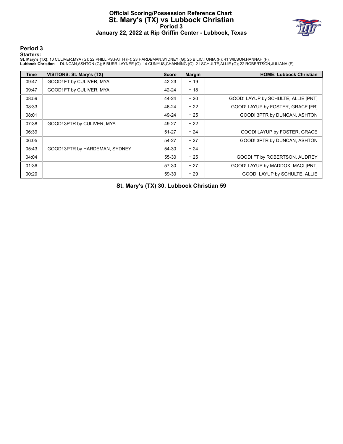## **Official Scoring/Possession Reference Chart St. Mary's (TX) vs Lubbock Christian Period 3 January 22, 2022 at Rip Griffin Center - Lubbock, Texas**



## **Period 3**

#### **Starters:**

**St. Mary's (TX)**: 10 CULIVER,MYA (G); 22 PHILLIPS,FAITH (F); 23 HARDEMAN,SYDNEY (G); 25 BILIC,TONIA (F); 41 WILSON,HANNAH (F);<br>**Lubbock Christian**: 1 DUNCAN,ASHTON (G); 5 BURR,LAYNEE (G); 14 CUNYUS,CHANNING (G); 21 SCHULT

| Time  | VISITORS: St. Mary's (TX)      | <b>Score</b> | <b>Margin</b> | <b>HOME: Lubbock Christian</b>      |
|-------|--------------------------------|--------------|---------------|-------------------------------------|
| 09:47 | GOOD! FT by CULIVER, MYA       | 42-23        | H 19          |                                     |
| 09:47 | GOOD! FT by CULIVER, MYA       | 42-24        | H 18          |                                     |
| 08:59 |                                | 44-24        | H 20          | GOOD! LAYUP by SCHULTE, ALLIE [PNT] |
| 08:33 |                                | 46-24        | H 22          | GOOD! LAYUP by FOSTER, GRACE [FB]   |
| 08:01 |                                | 49-24        | H 25          | GOOD! 3PTR by DUNCAN, ASHTON        |
| 07:38 | GOOD! 3PTR by CULIVER, MYA     | 49-27        | H 22          |                                     |
| 06:39 |                                | $51 - 27$    | H 24          | GOOD! LAYUP by FOSTER, GRACE        |
| 06:05 |                                | 54-27        | H 27          | GOOD! 3PTR by DUNCAN, ASHTON        |
| 05:43 | GOOD! 3PTR by HARDEMAN, SYDNEY | 54-30        | H 24          |                                     |
| 04:04 |                                | 55-30        | H 25          | GOOD! FT by ROBERTSON, AUDREY       |
| 01:36 |                                | 57-30        | H 27          | GOOD! LAYUP by MADDOX, MACI [PNT]   |
| 00:20 |                                | 59-30        | H 29          | GOOD! LAYUP by SCHULTE, ALLIE       |

**St. Mary's (TX) 30, Lubbock Christian 59**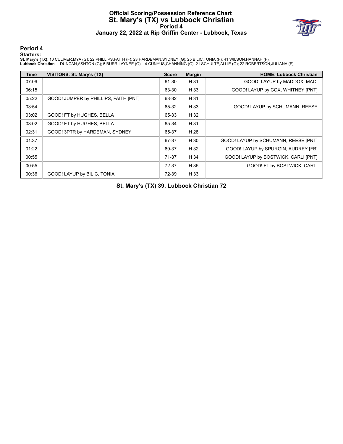## **Official Scoring/Possession Reference Chart St. Mary's (TX) vs Lubbock Christian Period 4 January 22, 2022 at Rip Griffin Center - Lubbock, Texas**



## **Period 4**

#### **Starters:**

**St. Mary's (TX)**: 10 CULIVER,MYA (G); 22 PHILLIPS,FAITH (F); 23 HARDEMAN,SYDNEY (G); 25 BILIC,TONIA (F); 41 WILSON,HANNAH (F);<br>**Lubbock Christian**: 1 DUNCAN,ASHTON (G); 5 BURR,LAYNEE (G); 14 CUNYUS,CHANNING (G); 21 SCHULT

| Time  | VISITORS: St. Mary's (TX)             | <b>Score</b> | <b>Margin</b> | <b>HOME: Lubbock Christian</b>       |
|-------|---------------------------------------|--------------|---------------|--------------------------------------|
| 07:09 |                                       | 61-30        | H 31          | GOOD! LAYUP by MADDOX, MACI          |
| 06:15 |                                       | 63-30        | H 33          | GOOD! LAYUP by COX, WHITNEY [PNT]    |
| 05:22 | GOOD! JUMPER by PHILLIPS, FAITH [PNT] | 63-32        | H 31          |                                      |
| 03:54 |                                       | 65-32        | H 33          | GOOD! LAYUP by SCHUMANN, REESE       |
| 03:02 | GOOD! FT by HUGHES, BELLA             | 65-33        | H 32          |                                      |
| 03:02 | GOOD! FT by HUGHES, BELLA             | 65-34        | H 31          |                                      |
| 02:31 | GOOD! 3PTR by HARDEMAN, SYDNEY        | 65-37        | H 28          |                                      |
| 01:37 |                                       | 67-37        | H 30          | GOOD! LAYUP by SCHUMANN, REESE [PNT] |
| 01:22 |                                       | 69-37        | H 32          | GOOD! LAYUP by SPURGIN, AUDREY [FB]  |
| 00:55 |                                       | 71-37        | H 34          | GOOD! LAYUP by BOSTWICK, CARLI [PNT] |
| 00:55 |                                       | 72-37        | H 35          | GOOD! FT by BOSTWICK, CARLI          |
| 00:36 | GOOD! LAYUP by BILIC, TONIA           | 72-39        | H 33          |                                      |

**St. Mary's (TX) 39, Lubbock Christian 72**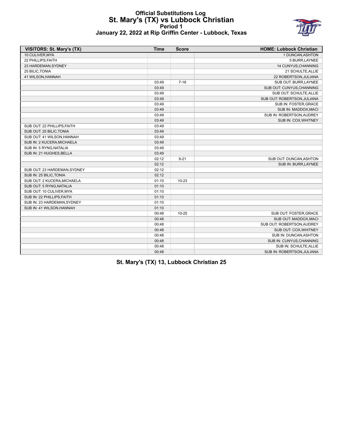## **Official Substitutions Log St. Mary's (TX) vs Lubbock Christian Period 1 January 22, 2022 at Rip Griffin Center - Lubbock, Texas**



| VISITORS: St. Mary's (TX)    | <b>Time</b> | <b>Score</b> | <b>HOME: Lubbock Christian</b> |
|------------------------------|-------------|--------------|--------------------------------|
| 10 CULIVER, MYA              |             |              | 1 DUNCAN, ASHTON               |
| 22 PHILLIPS, FAITH           |             |              | 5 BURR, LAYNEE                 |
| 23 HARDEMAN, SYDNEY          |             |              | 14 CUNYUS, CHANNING            |
| 25 BILIC, TONIA              |             |              | 21 SCHULTE, ALLIE              |
| 41 WILSON, HANNAH            |             |              | 22 ROBERTSON, JULIANA          |
|                              | 03:49       | $7 - 18$     | SUB OUT: BURR, LAYNEE          |
|                              | 03:49       |              | SUB OUT: CUNYUS, CHANNING      |
|                              | 03:49       |              | SUB OUT: SCHULTE, ALLIE        |
|                              | 03:49       |              | SUB OUT: ROBERTSON, JULIANA    |
|                              | 03:49       |              | SUB IN: FOSTER, GRACE          |
|                              | 03:49       |              | SUB IN: MADDOX, MACI           |
|                              | 03:49       |              | SUB IN: ROBERTSON, AUDREY      |
|                              | 03:49       |              | SUB IN: COX, WHITNEY           |
| SUB OUT: 22 PHILLIPS, FAITH  | 03:49       |              |                                |
| SUB OUT: 25 BILIC, TONIA     | 03:49       |              |                                |
| SUB OUT: 41 WILSON, HANNAH   | 03:49       |              |                                |
| SUB IN: 2 KUCERA, MICHAELA   | 03:49       |              |                                |
| SUB IN: 5 RYNG, NATALIA      | 03:49       |              |                                |
| SUB IN: 21 HUGHES, BELLA     | 03:49       |              |                                |
|                              | 02:12       | $9 - 21$     | SUB OUT: DUNCAN, ASHTON        |
|                              | 02:12       |              | SUB IN: BURR, LAYNEE           |
| SUB OUT: 23 HARDEMAN, SYDNEY | 02:12       |              |                                |
| SUB IN: 25 BILIC, TONIA      | 02:12       |              |                                |
| SUB OUT: 2 KUCERA, MICHAELA  | 01:10       | $10 - 23$    |                                |
| SUB OUT: 5 RYNG, NATALIA     | 01:10       |              |                                |
| SUB OUT: 10 CULIVER, MYA     | 01:10       |              |                                |
| SUB IN: 22 PHILLIPS, FAITH   | 01:10       |              |                                |
| SUB IN: 23 HARDEMAN, SYDNEY  | 01:10       |              |                                |
| SUB IN: 41 WILSON, HANNAH    | 01:10       |              |                                |
|                              | 00:48       | $10 - 25$    | SUB OUT: FOSTER, GRACE         |
|                              | 00:48       |              | SUB OUT: MADDOX, MACI          |
|                              | 00:48       |              | SUB OUT: ROBERTSON, AUDREY     |
|                              | 00:48       |              | SUB OUT: COX, WHITNEY          |
|                              | 00:48       |              | SUB IN: DUNCAN, ASHTON         |
|                              | 00:48       |              | SUB IN: CUNYUS, CHANNING       |
|                              | 00:48       |              | SUB IN: SCHULTE, ALLIE         |
|                              | 00:48       |              | SUB IN: ROBERTSON, JULIANA     |

**St. Mary's (TX) 13, Lubbock Christian 25**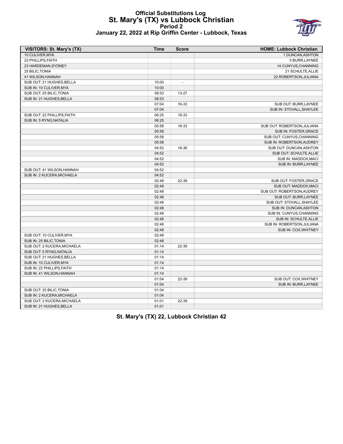## **Official Substitutions Log St. Mary's (TX) vs Lubbock Christian Period 2 January 22, 2022 at Rip Griffin Center - Lubbock, Texas**



| <b>VISITORS: St. Mary's (TX)</b> | Time  | <b>Score</b>   | <b>HOME: Lubbock Christian</b> |
|----------------------------------|-------|----------------|--------------------------------|
| 10 CULIVER, MYA                  |       |                | 1 DUNCAN, ASHTON               |
| 22 PHILLIPS, FAITH               |       |                | 5 BURR, LAYNEE                 |
| 23 HARDEMAN, SYDNEY              |       |                | 14 CUNYUS, CHANNING            |
| 25 BILIC, TONIA                  |       |                | 21 SCHULTE, ALLIE              |
| 41 WILSON, HANNAH                |       |                | 22 ROBERTSON, JULIANA          |
| SUB OUT: 21 HUGHES, BELLA        | 10:00 | $\overline{a}$ |                                |
| SUB IN: 10 CULIVER, MYA          | 10:00 |                |                                |
| SUB OUT: 25 BILIC, TONIA         | 08:53 | 13-27          |                                |
| SUB IN: 21 HUGHES, BELLA         | 08:53 |                |                                |
|                                  | 07:04 | 16-33          | SUB OUT: BURR, LAYNEE          |
|                                  | 07:04 |                | SUB IN: STOVALL, SHAYLEE       |
| SUB OUT: 22 PHILLIPS, FAITH      | 06:25 | 16-33          |                                |
| SUB IN: 5 RYNG, NATALIA          | 06:25 |                |                                |
|                                  | 05:58 | 16-33          | SUB OUT: ROBERTSON, JULIANA    |
|                                  | 05:58 |                | SUB IN: FOSTER, GRACE          |
|                                  | 05:58 |                | SUB OUT: CUNYUS, CHANNING      |
|                                  | 05:58 |                | SUB IN: ROBERTSON, AUDREY      |
|                                  | 04:52 | 16-36          | SUB OUT: DUNCAN, ASHTON        |
|                                  | 04:52 |                | SUB OUT: SCHULTE, ALLIE        |
|                                  | 04:52 |                | SUB IN: MADDOX, MACI           |
|                                  | 04:52 |                | SUB IN: BURR, LAYNEE           |
| SUB OUT: 41 WILSON, HANNAH       | 04:52 |                |                                |
| SUB IN: 2 KUCERA, MICHAELA       | 04:52 |                |                                |
|                                  | 02:48 | 22-39          | SUB OUT: FOSTER, GRACE         |
|                                  | 02:48 |                | SUB OUT: MADDOX, MACI          |
|                                  | 02:48 |                | SUB OUT: ROBERTSON, AUDREY     |
|                                  | 02:48 |                | SUB OUT: BURR, LAYNEE          |
|                                  | 02:48 |                | SUB OUT: STOVALL, SHAYLEE      |
|                                  | 02:48 |                | SUB IN: DUNCAN, ASHTON         |
|                                  | 02:48 |                | SUB IN: CUNYUS, CHANNING       |
|                                  | 02:48 |                | SUB IN: SCHULTE, ALLIE         |
|                                  | 02:48 |                | SUB IN: ROBERTSON, JULIANA     |
|                                  | 02:48 |                | SUB IN: COX, WHITNEY           |
| SUB OUT: 10 CULIVER, MYA         | 02:48 |                |                                |
| SUB IN: 25 BILIC, TONIA          | 02:48 |                |                                |
| SUB OUT: 2 KUCERA, MICHAELA      | 01:14 | 22-39          |                                |
| SUB OUT: 5 RYNG, NATALIA         | 01:14 |                |                                |
| SUB OUT: 21 HUGHES, BELLA        | 01:14 |                |                                |
| SUB IN: 10 CULIVER, MYA          | 01:14 |                |                                |
| SUB IN: 22 PHILLIPS, FAITH       | 01:14 |                |                                |
| SUB IN: 41 WILSON, HANNAH        | 01:14 |                |                                |
|                                  | 01:04 | 22-39          | SUB OUT: COX, WHITNEY          |
|                                  | 01:04 |                | SUB IN: BURR, LAYNEE           |
| SUB OUT: 25 BILIC, TONIA         | 01:04 |                |                                |
| SUB IN: 2 KUCERA, MICHAELA       | 01:04 |                |                                |
| SUB OUT: 2 KUCERA, MICHAELA      | 01:01 | 22-39          |                                |
| SUB IN: 21 HUGHES, BELLA         | 01:01 |                |                                |

**St. Mary's (TX) 22, Lubbock Christian 42**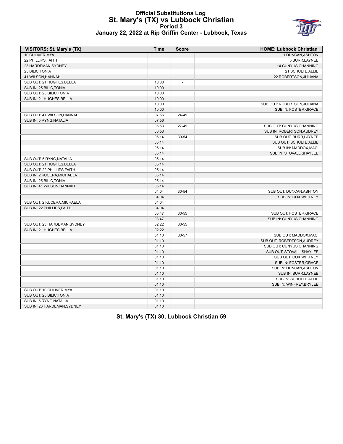## **Official Substitutions Log St. Mary's (TX) vs Lubbock Christian Period 3 January 22, 2022 at Rip Griffin Center - Lubbock, Texas**



| VISITORS: St. Mary's (TX)    | <b>Time</b> | <b>Score</b>   | <b>HOME: Lubbock Christian</b> |
|------------------------------|-------------|----------------|--------------------------------|
| 10 CULIVER, MYA              |             |                | 1 DUNCAN, ASHTON               |
| 22 PHILLIPS, FAITH           |             |                | 5 BURR, LAYNEE                 |
| 23 HARDEMAN, SYDNEY          |             |                | 14 CUNYUS, CHANNING            |
| 25 BILIC, TONIA              |             |                | 21 SCHULTE, ALLIE              |
| 41 WILSON, HANNAH            |             |                | 22 ROBERTSON, JULIANA          |
| SUB OUT: 21 HUGHES, BELLA    | 10:00       | $\overline{a}$ |                                |
| SUB IN: 25 BILIC, TONIA      | 10:00       |                |                                |
| SUB OUT: 25 BILIC, TONIA     | 10:00       |                |                                |
| SUB IN: 21 HUGHES, BELLA     | 10:00       |                |                                |
|                              | 10:00       |                | SUB OUT: ROBERTSON, JULIANA    |
|                              | 10:00       |                | SUB IN: FOSTER, GRACE          |
| SUB OUT: 41 WILSON, HANNAH   | 07:56       | 24-49          |                                |
| SUB IN: 5 RYNG, NATALIA      | 07:56       |                |                                |
|                              | 06:53       | 27-49          | SUB OUT: CUNYUS, CHANNING      |
|                              | 06:53       |                | SUB IN: ROBERTSON, AUDREY      |
|                              | 05:14       | 30-54          | SUB OUT: BURR, LAYNEE          |
|                              | 05:14       |                | SUB OUT: SCHULTE, ALLIE        |
|                              | 05:14       |                | SUB IN: MADDOX, MACI           |
|                              | 05:14       |                | SUB IN: STOVALL, SHAYLEE       |
| SUB OUT: 5 RYNG, NATALIA     | 05:14       |                |                                |
| SUB OUT: 21 HUGHES, BELLA    | 05:14       |                |                                |
| SUB OUT: 22 PHILLIPS, FAITH  | 05:14       |                |                                |
| SUB IN: 2 KUCERA, MICHAELA   | 05:14       |                |                                |
| SUB IN: 25 BILIC, TONIA      | 05:14       |                |                                |
| SUB IN: 41 WILSON, HANNAH    | 05:14       |                |                                |
|                              | 04:04       | 30-54          | SUB OUT: DUNCAN, ASHTON        |
|                              | 04:04       |                | SUB IN: COX, WHITNEY           |
| SUB OUT: 2 KUCERA, MICHAELA  | 04:04       |                |                                |
| SUB IN: 22 PHILLIPS FAITH    | 04:04       |                |                                |
|                              | 03:47       | 30-55          | SUB OUT: FOSTER, GRACE         |
|                              | 03:47       |                | SUB IN: CUNYUS, CHANNING       |
| SUB OUT: 23 HARDEMAN, SYDNEY | 02:22       | 30-55          |                                |
| SUB IN: 21 HUGHES, BELLA     | 02:22       |                |                                |
|                              | 01:10       | 30-57          | SUB OUT: MADDOX, MACI          |
|                              | 01:10       |                | SUB OUT: ROBERTSON, AUDREY     |
|                              | 01:10       |                | SUB OUT: CUNYUS, CHANNING      |
|                              | 01:10       |                | SUB OUT: STOVALL.SHAYLEE       |
|                              | 01:10       |                | SUB OUT: COX, WHITNEY          |
|                              | 01:10       |                | SUB IN: FOSTER, GRACE          |
|                              | 01:10       |                | SUB IN: DUNCAN, ASHTON         |
|                              | 01:10       |                | SUB IN: BURR, LAYNEE           |
|                              | 01:10       |                | SUB IN: SCHULTE, ALLIE         |
|                              | 01:10       |                | SUB IN: WINFREY, BRYLEE        |
| SUB OUT: 10 CULIVER, MYA     | 01:10       |                |                                |
| SUB OUT: 25 BILIC, TONIA     | 01:10       |                |                                |
| SUB IN: 5 RYNG, NATALIA      | 01:10       |                |                                |
| SUB IN: 23 HARDEMAN, SYDNEY  | 01:10       |                |                                |

**St. Mary's (TX) 30, Lubbock Christian 59**